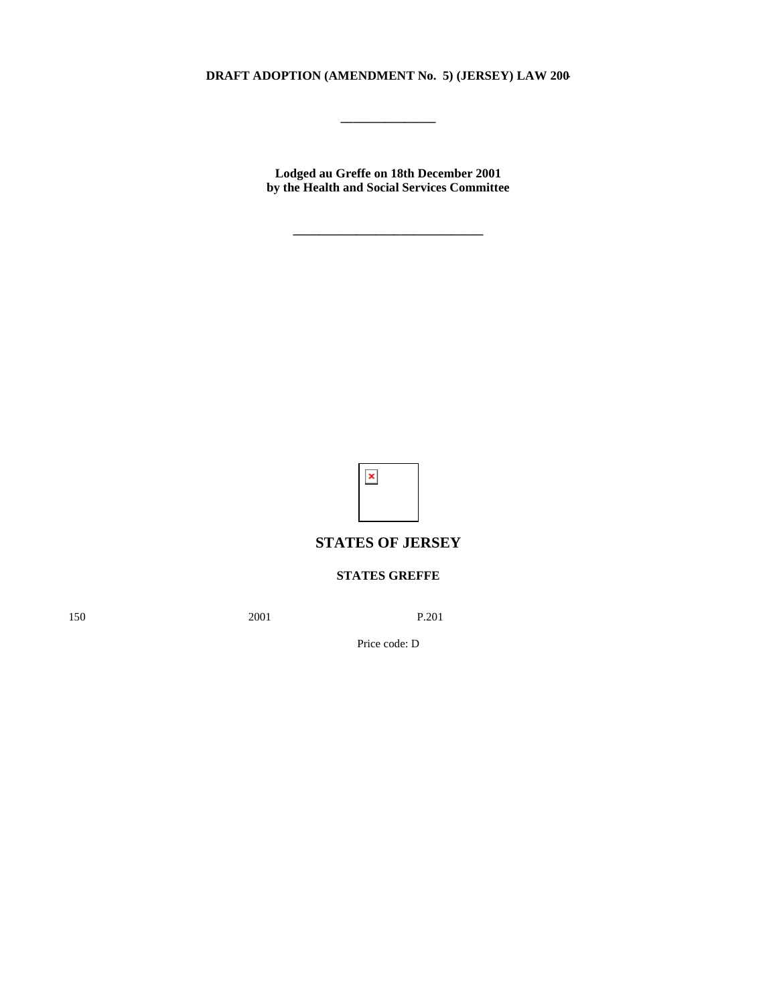# **DRAFT ADOPTION (AMENDMENT No. 5) (JERSEY) LAW 200-**

**\_\_\_\_\_\_\_\_\_\_\_\_\_\_\_**

**Lodged au Greffe on 18th December 2001 by the Health and Social Services Committee**

**\_\_\_\_\_\_\_\_\_\_\_\_\_\_\_\_\_\_\_\_\_\_\_\_\_\_\_\_\_\_**



# **STATES OF JERSEY**

# **STATES GREFFE**

150 2001 P.201

Price code: D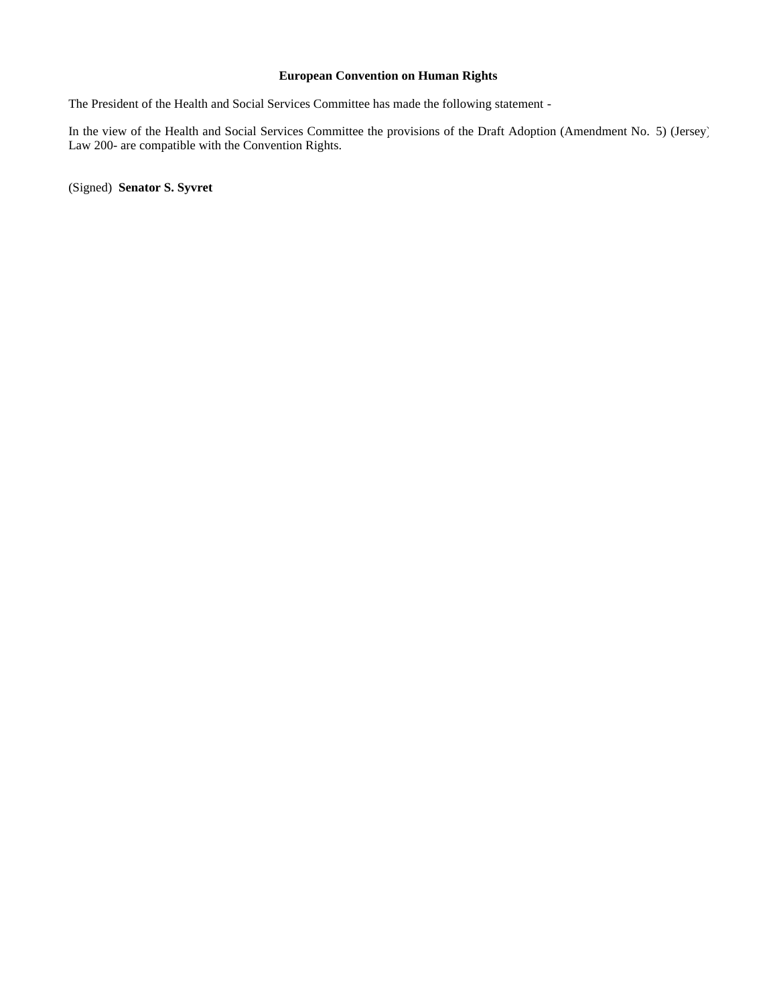# **European Convention on Human Rights**

The President of the Health and Social Services Committee has made the following statement -

In the view of the Health and Social Services Committee the provisions of the Draft Adoption (Amendment No. 5) (Jersey) Law 200- are compatible with the Convention Rights.

(Signed) **Senator S. Syvret**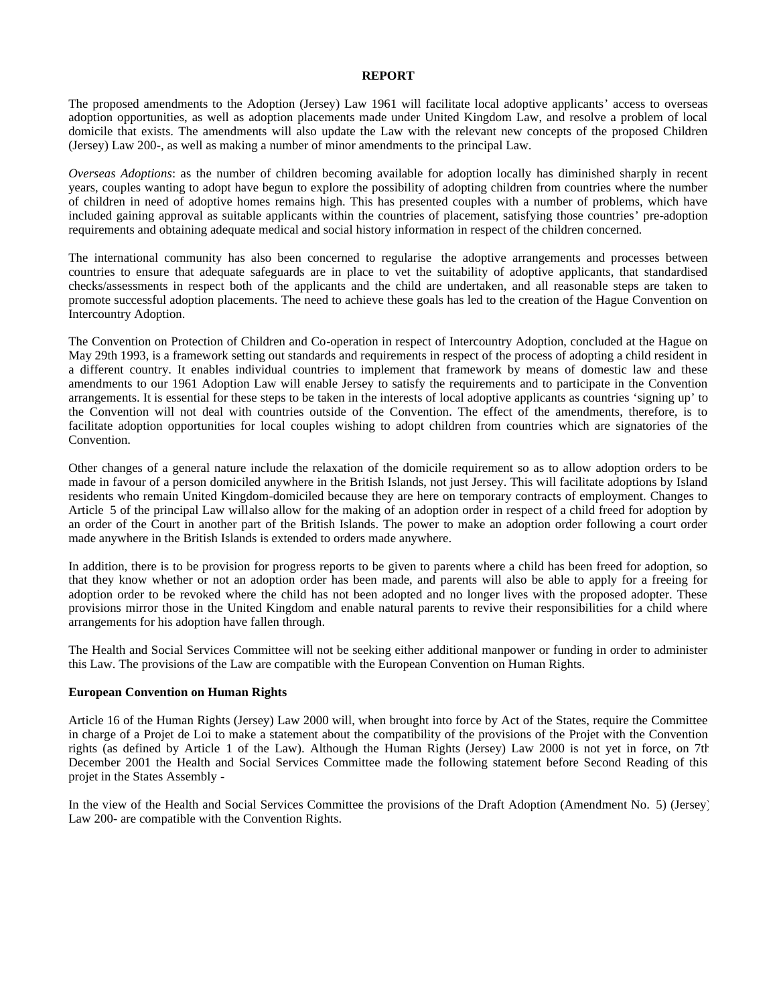### **REPORT**

The proposed amendments to the Adoption (Jersey) Law 1961 will facilitate local adoptive applicants' access to overseas adoption opportunities, as well as adoption placements made under United Kingdom Law, and resolve a problem of local domicile that exists. The amendments will also update the Law with the relevant new concepts of the proposed Children (Jersey) Law 200-, as well as making a number of minor amendments to the principal Law.

*Overseas Adoptions*: as the number of children becoming available for adoption locally has diminished sharply in recent years, couples wanting to adopt have begun to explore the possibility of adopting children from countries where the number of children in need of adoptive homes remains high. This has presented couples with a number of problems, which have included gaining approval as suitable applicants within the countries of placement, satisfying those countries' pre-adoption requirements and obtaining adequate medical and social history information in respect of the children concerned.

The international community has also been concerned to regularise the adoptive arrangements and processes between countries to ensure that adequate safeguards are in place to vet the suitability of adoptive applicants, that standardised checks/assessments in respect both of the applicants and the child are undertaken, and all reasonable steps are taken to promote successful adoption placements. The need to achieve these goals has led to the creation of the Hague Convention on Intercountry Adoption.

The Convention on Protection of Children and Co-operation in respect of Intercountry Adoption, concluded at the Hague on May 29th 1993, is a framework setting out standards and requirements in respect of the process of adopting a child resident in a different country. It enables individual countries to implement that framework by means of domestic law and these amendments to our 1961 Adoption Law will enable Jersey to satisfy the requirements and to participate in the Convention arrangements. It is essential for these steps to be taken in the interests of local adoptive applicants as countries 'signing up' to the Convention will not deal with countries outside of the Convention. The effect of the amendments, therefore, is to facilitate adoption opportunities for local couples wishing to adopt children from countries which are signatories of the Convention.

Other changes of a general nature include the relaxation of the domicile requirement so as to allow adoption orders to be made in favour of a person domiciled anywhere in the British Islands, not just Jersey. This will facilitate adoptions by Island residents who remain United Kingdom-domiciled because they are here on temporary contracts of employment. Changes to Article 5 of the principal Law willalso allow for the making of an adoption order in respect of a child freed for adoption by an order of the Court in another part of the British Islands. The power to make an adoption order following a court order made anywhere in the British Islands is extended to orders made anywhere.

In addition, there is to be provision for progress reports to be given to parents where a child has been freed for adoption, so that they know whether or not an adoption order has been made, and parents will also be able to apply for a freeing for adoption order to be revoked where the child has not been adopted and no longer lives with the proposed adopter. These provisions mirror those in the United Kingdom and enable natural parents to revive their responsibilities for a child where arrangements for his adoption have fallen through.

The Health and Social Services Committee will not be seeking either additional manpower or funding in order to administer this Law. The provisions of the Law are compatible with the European Convention on Human Rights.

### **European Convention on Human Rights**

Article 16 of the Human Rights (Jersey) Law 2000 will, when brought into force by Act of the States, require the Committee in charge of a Projet de Loi to make a statement about the compatibility of the provisions of the Projet with the Convention rights (as defined by Article 1 of the Law). Although the Human Rights (Jersey) Law 2000 is not yet in force, on 7th December 2001 the Health and Social Services Committee made the following statement before Second Reading of this projet in the States Assembly -

In the view of the Health and Social Services Committee the provisions of the Draft Adoption (Amendment No. 5) (Jersey) Law 200- are compatible with the Convention Rights.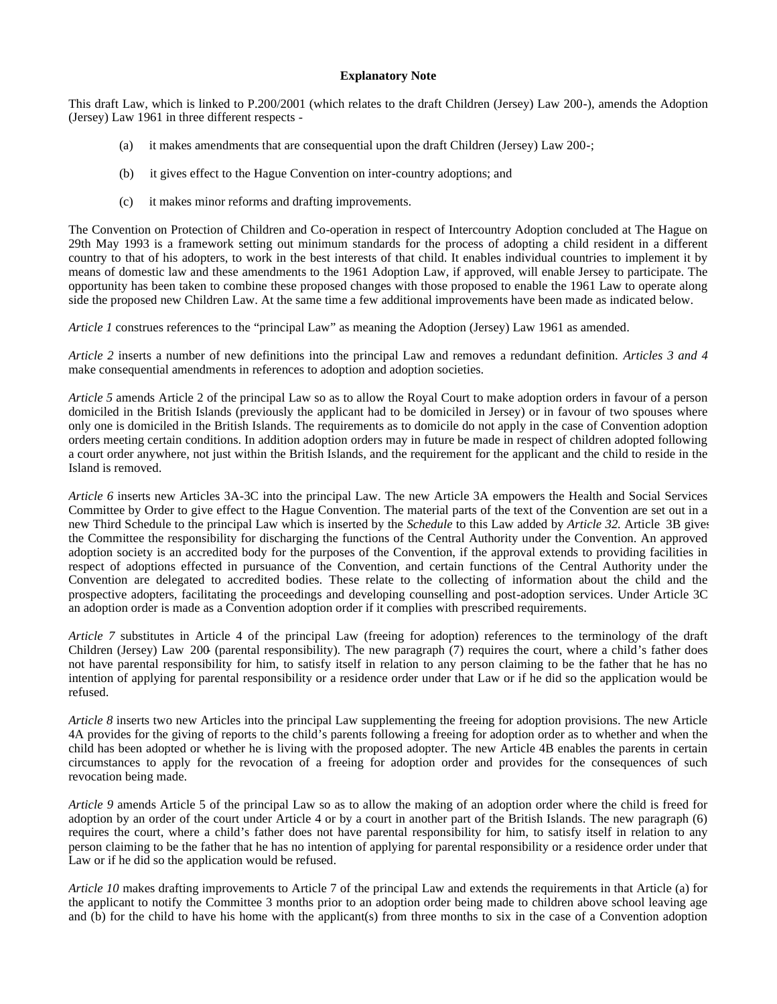### **Explanatory Note**

This draft Law, which is linked to P.200/2001 (which relates to the draft Children (Jersey) Law 200-), amends the Adoption (Jersey) Law 1961 in three different respects -

- (a) it makes amendments that are consequential upon the draft Children (Jersey) Law 200-;
- (b) it gives effect to the Hague Convention on inter-country adoptions; and
- (c) it makes minor reforms and drafting improvements.

The Convention on Protection of Children and Co-operation in respect of Intercountry Adoption concluded at The Hague on 29th May 1993 is a framework setting out minimum standards for the process of adopting a child resident in a different country to that of his adopters, to work in the best interests of that child. It enables individual countries to implement it by means of domestic law and these amendments to the 1961 Adoption Law, if approved, will enable Jersey to participate. The opportunity has been taken to combine these proposed changes with those proposed to enable the 1961 Law to operate along side the proposed new Children Law. At the same time a few additional improvements have been made as indicated below.

*Article 1* construes references to the "principal Law" as meaning the Adoption (Jersey) Law 1961 as amended.

*Article 2* inserts a number of new definitions into the principal Law and removes a redundant definition. *Articles 3 and 4* make consequential amendments in references to adoption and adoption societies.

*Article 5* amends Article 2 of the principal Law so as to allow the Royal Court to make adoption orders in favour of a person domiciled in the British Islands (previously the applicant had to be domiciled in Jersey) or in favour of two spouses where only one is domiciled in the British Islands. The requirements as to domicile do not apply in the case of Convention adoption orders meeting certain conditions. In addition adoption orders may in future be made in respect of children adopted following a court order anywhere, not just within the British Islands, and the requirement for the applicant and the child to reside in the Island is removed.

*Article 6* inserts new Articles 3A-3C into the principal Law. The new Article 3A empowers the Health and Social Services Committee by Order to give effect to the Hague Convention. The material parts of the text of the Convention are set out in a new Third Schedule to the principal Law which is inserted by the *Schedule* to this Law added by *Article 32.* Article 3B gives the Committee the responsibility for discharging the functions of the Central Authority under the Convention. An approved adoption society is an accredited body for the purposes of the Convention, if the approval extends to providing facilities in respect of adoptions effected in pursuance of the Convention, and certain functions of the Central Authority under the Convention are delegated to accredited bodies. These relate to the collecting of information about the child and the prospective adopters, facilitating the proceedings and developing counselling and post-adoption services. Under Article 3C an adoption order is made as a Convention adoption order if it complies with prescribed requirements.

*Article 7* substitutes in Article 4 of the principal Law (freeing for adoption) references to the terminology of the draft Children (Jersey) Law 200- (parental responsibility). The new paragraph  $(7)$  requires the court, where a child's father does not have parental responsibility for him, to satisfy itself in relation to any person claiming to be the father that he has no intention of applying for parental responsibility or a residence order under that Law or if he did so the application would be refused.

*Article 8* inserts two new Articles into the principal Law supplementing the freeing for adoption provisions. The new Article 4A provides for the giving of reports to the child's parents following a freeing for adoption order as to whether and when the child has been adopted or whether he is living with the proposed adopter. The new Article 4B enables the parents in certain circumstances to apply for the revocation of a freeing for adoption order and provides for the consequences of such revocation being made.

*Article 9* amends Article 5 of the principal Law so as to allow the making of an adoption order where the child is freed for adoption by an order of the court under Article 4 or by a court in another part of the British Islands. The new paragraph (6) requires the court, where a child's father does not have parental responsibility for him, to satisfy itself in relation to any person claiming to be the father that he has no intention of applying for parental responsibility or a residence order under that Law or if he did so the application would be refused.

*Article 10* makes drafting improvements to Article 7 of the principal Law and extends the requirements in that Article (a) for the applicant to notify the Committee 3 months prior to an adoption order being made to children above school leaving age and (b) for the child to have his home with the applicant(s) from three months to six in the case of a Convention adoption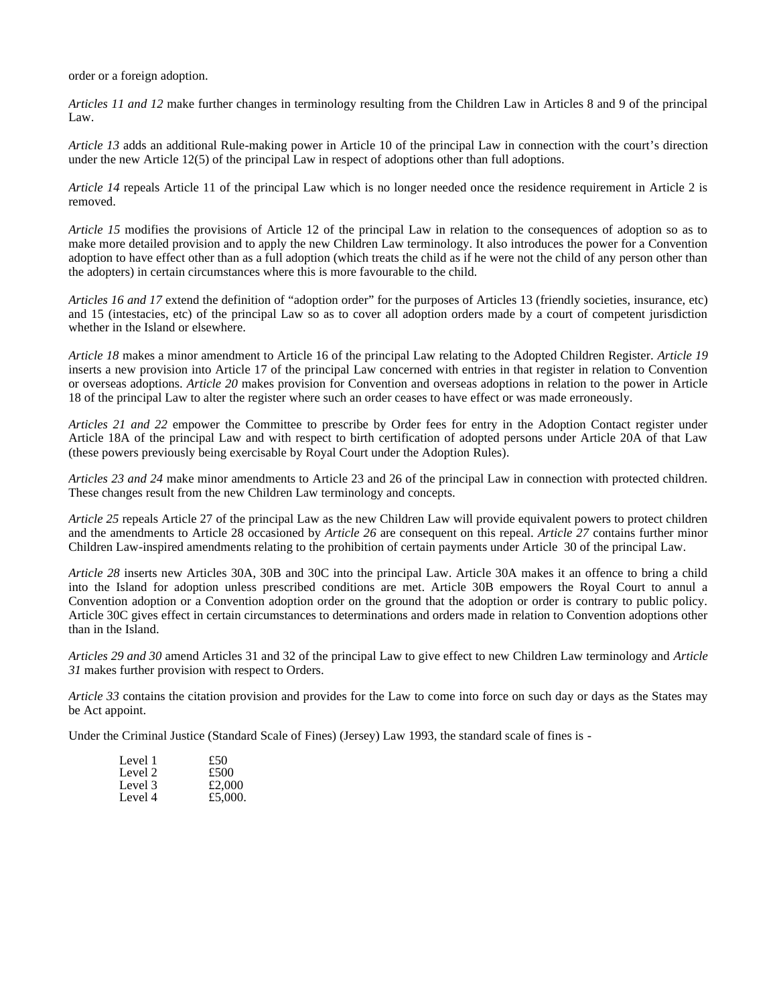order or a foreign adoption.

*Articles 11 and 12* make further changes in terminology resulting from the Children Law in Articles 8 and 9 of the principal Law.

*Article 13* adds an additional Rule-making power in Article 10 of the principal Law in connection with the court's direction under the new Article 12(5) of the principal Law in respect of adoptions other than full adoptions.

*Article 14* repeals Article 11 of the principal Law which is no longer needed once the residence requirement in Article 2 is removed.

*Article 15* modifies the provisions of Article 12 of the principal Law in relation to the consequences of adoption so as to make more detailed provision and to apply the new Children Law terminology. It also introduces the power for a Convention adoption to have effect other than as a full adoption (which treats the child as if he were not the child of any person other than the adopters) in certain circumstances where this is more favourable to the child.

*Articles 16 and 17* extend the definition of "adoption order" for the purposes of Articles 13 (friendly societies, insurance, etc) and 15 (intestacies, etc) of the principal Law so as to cover all adoption orders made by a court of competent jurisdiction whether in the Island or elsewhere.

*Article 18* makes a minor amendment to Article 16 of the principal Law relating to the Adopted Children Register. *Article 19* inserts a new provision into Article 17 of the principal Law concerned with entries in that register in relation to Convention or overseas adoptions. *Article 20* makes provision for Convention and overseas adoptions in relation to the power in Article 18 of the principal Law to alter the register where such an order ceases to have effect or was made erroneously.

*Articles 21 and 22* empower the Committee to prescribe by Order fees for entry in the Adoption Contact register under Article 18A of the principal Law and with respect to birth certification of adopted persons under Article 20A of that Law (these powers previously being exercisable by Royal Court under the Adoption Rules).

*Articles 23 and 24* make minor amendments to Article 23 and 26 of the principal Law in connection with protected children. These changes result from the new Children Law terminology and concepts.

*Article 25* repeals Article 27 of the principal Law as the new Children Law will provide equivalent powers to protect children and the amendments to Article 28 occasioned by *Article 26* are consequent on this repeal. *Article 27* contains further minor Children Law-inspired amendments relating to the prohibition of certain payments under Article 30 of the principal Law.

*Article 28* inserts new Articles 30A, 30B and 30C into the principal Law. Article 30A makes it an offence to bring a child into the Island for adoption unless prescribed conditions are met. Article 30B empowers the Royal Court to annul a Convention adoption or a Convention adoption order on the ground that the adoption or order is contrary to public policy. Article 30C gives effect in certain circumstances to determinations and orders made in relation to Convention adoptions other than in the Island.

*Articles 29 and 30* amend Articles 31 and 32 of the principal Law to give effect to new Children Law terminology and *Article 31* makes further provision with respect to Orders.

*Article 33* contains the citation provision and provides for the Law to come into force on such day or days as the States may be Act appoint.

Under the Criminal Justice (Standard Scale of Fines) (Jersey) Law 1993, the standard scale of fines is -

| Level 1 | £50     |
|---------|---------|
| Level 2 | £500    |
| Level 3 | £2,000  |
| Level 4 | £5,000. |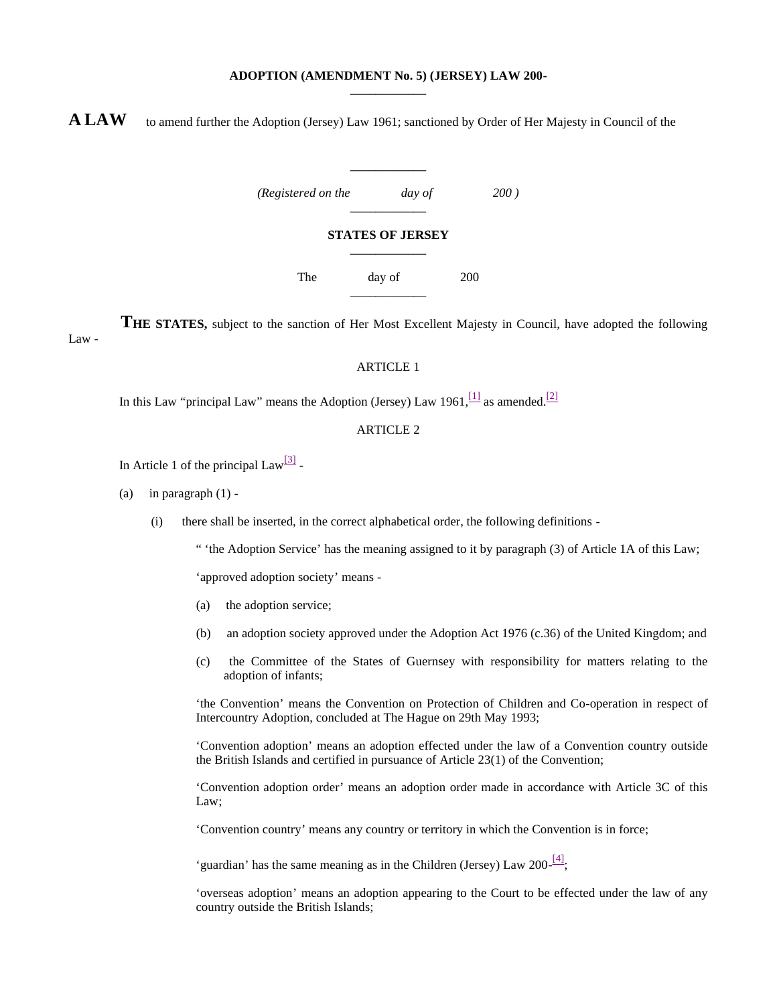#### **ADOPTION (AMENDMENT No. 5) (JERSEY) LAW 200- \_\_\_\_\_\_\_\_\_\_\_\_**

**A LAW** to amend further the Adoption (Jersey) Law 1961; sanctioned by Order of Her Majesty in Council of the

*(Registered on the day of 200 )* \_\_\_\_\_\_\_\_\_\_\_\_ **STATES OF JERSEY \_\_\_\_\_\_\_\_\_\_\_\_** The day of 200 \_\_\_\_\_\_\_\_\_\_\_\_

**\_\_\_\_\_\_\_\_\_\_\_\_**

**THE STATES,** subject to the sanction of Her Most Excellent Majesty in Council, have adopted the following Law -

#### ARTICLE 1

In this Law "principal Law" means the Adoption (Jersey) Law 1961,  $\frac{[1]}{[1]}$  as amended.  $\frac{[2]}{[2]}$ 

## ARTICLE 2

In Article 1 of the principal  $Law^{[3]}$ 

- (a) in paragraph  $(1)$  -
	- (i) there shall be inserted, in the correct alphabetical order, the following definitions -

" 'the Adoption Service' has the meaning assigned to it by paragraph (3) of Article 1A of this Law;

'approved adoption society' means -

- (a) the adoption service;
- (b) an adoption society approved under the Adoption Act 1976 (c.36) of the United Kingdom; and
- (c) the Committee of the States of Guernsey with responsibility for matters relating to the adoption of infants;

'the Convention' means the Convention on Protection of Children and Co-operation in respect of Intercountry Adoption, concluded at The Hague on 29th May 1993;

'Convention adoption' means an adoption effected under the law of a Convention country outside the British Islands and certified in pursuance of Article 23(1) of the Convention;

'Convention adoption order' means an adoption order made in accordance with Article 3C of this Law;

'Convention country' means any country or territory in which the Convention is in force;

'guardian' has the same meaning as in the Children (Jersey) Law  $200 - \frac{[4]}{3}$ ;

'overseas adoption' means an adoption appearing to the Court to be effected under the law of any country outside the British Islands;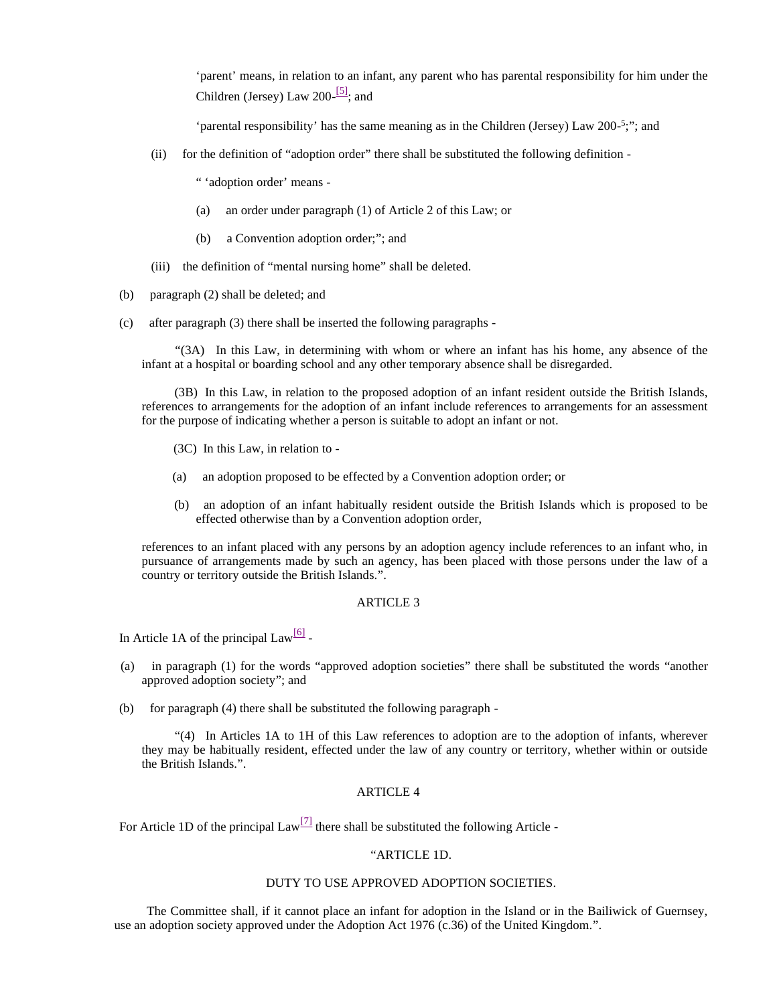'parent' means, in relation to an infant, any parent who has parental responsibility for him under the Children (Jersey) Law  $200 - \frac{5}{3}$ ; and

'parental responsibility' has the same meaning as in the Children (Jersey) Law 200-5;"; and

(ii) for the definition of "adoption order" there shall be substituted the following definition -

" 'adoption order' means -

- (a) an order under paragraph (1) of Article 2 of this Law; or
- (b) a Convention adoption order;"; and
- (iii) the definition of "mental nursing home" shall be deleted.
- (b) paragraph (2) shall be deleted; and
- (c) after paragraph (3) there shall be inserted the following paragraphs -

 "(3A) In this Law, in determining with whom or where an infant has his home, any absence of the infant at a hospital or boarding school and any other temporary absence shall be disregarded.

 (3B) In this Law, in relation to the proposed adoption of an infant resident outside the British Islands, references to arrangements for the adoption of an infant include references to arrangements for an assessment for the purpose of indicating whether a person is suitable to adopt an infant or not.

(3C) In this Law, in relation to -

- (a) an adoption proposed to be effected by a Convention adoption order; or
- (b) an adoption of an infant habitually resident outside the British Islands which is proposed to be effected otherwise than by a Convention adoption order,

references to an infant placed with any persons by an adoption agency include references to an infant who, in pursuance of arrangements made by such an agency, has been placed with those persons under the law of a country or territory outside the British Islands.".

#### ARTICLE 3

In Article 1A of the principal  $Law^{[6]}$ 

- (a) in paragraph (1) for the words "approved adoption societies" there shall be substituted the words "another approved adoption society"; and
- (b) for paragraph (4) there shall be substituted the following paragraph -

 "(4) In Articles 1A to 1H of this Law references to adoption are to the adoption of infants, wherever they may be habitually resident, effected under the law of any country or territory, whether within or outside the British Islands.".

#### ARTICLE 4

For Article 1D of the principal  $Law^{[7]}$  there shall be substituted the following Article -

#### "ARTICLE 1D.

#### DUTY TO USE APPROVED ADOPTION SOCIETIES.

 The Committee shall, if it cannot place an infant for adoption in the Island or in the Bailiwick of Guernsey, use an adoption society approved under the Adoption Act 1976 (c.36) of the United Kingdom.".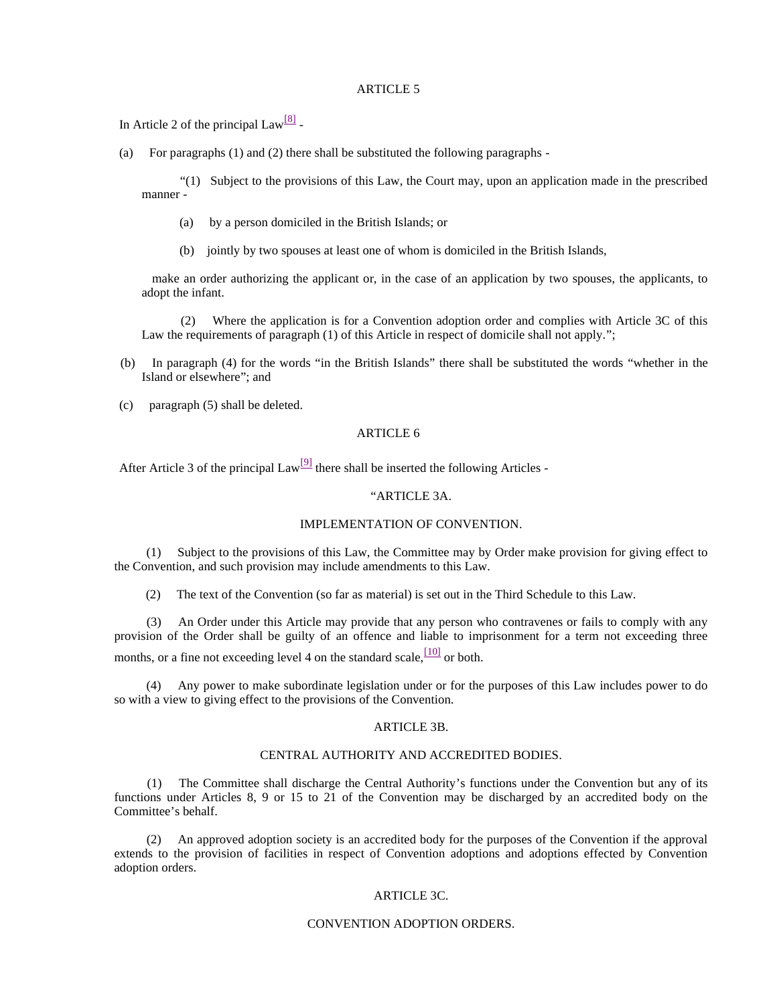#### ARTICLE 5

In Article 2 of the principal  $Law^{\{8\}}$ 

(a) For paragraphs (1) and (2) there shall be substituted the following paragraphs -

 "(1) Subject to the provisions of this Law, the Court may, upon an application made in the prescribed manner -

- (a) by a person domiciled in the British Islands; or
- (b) jointly by two spouses at least one of whom is domiciled in the British Islands,

 make an order authorizing the applicant or, in the case of an application by two spouses, the applicants, to adopt the infant.

 (2) Where the application is for a Convention adoption order and complies with Article 3C of this Law the requirements of paragraph (1) of this Article in respect of domicile shall not apply.";

- (b) In paragraph (4) for the words "in the British Islands" there shall be substituted the words "whether in the Island or elsewhere"; and
- (c) paragraph (5) shall be deleted.

# ARTICLE 6

After Article 3 of the principal  $Law^{9}$  there shall be inserted the following Articles -

# "ARTICLE 3A.

### IMPLEMENTATION OF CONVENTION.

 (1) Subject to the provisions of this Law, the Committee may by Order make provision for giving effect to the Convention, and such provision may include amendments to this Law.

(2) The text of the Convention (so far as material) is set out in the Third Schedule to this Law.

 (3) An Order under this Article may provide that any person who contravenes or fails to comply with any provision of the Order shall be guilty of an offence and liable to imprisonment for a term not exceeding three months, or a fine not exceeding level 4 on the standard scale,  $\frac{[10]}{[10]}$  or both.

 (4) Any power to make subordinate legislation under or for the purposes of this Law includes power to do so with a view to giving effect to the provisions of the Convention.

### ARTICLE 3B.

### CENTRAL AUTHORITY AND ACCREDITED BODIES.

 (1) The Committee shall discharge the Central Authority's functions under the Convention but any of its functions under Articles 8, 9 or 15 to 21 of the Convention may be discharged by an accredited body on the Committee's behalf.

 (2) An approved adoption society is an accredited body for the purposes of the Convention if the approval extends to the provision of facilities in respect of Convention adoptions and adoptions effected by Convention adoption orders.

#### ARTICLE 3C.

#### CONVENTION ADOPTION ORDERS.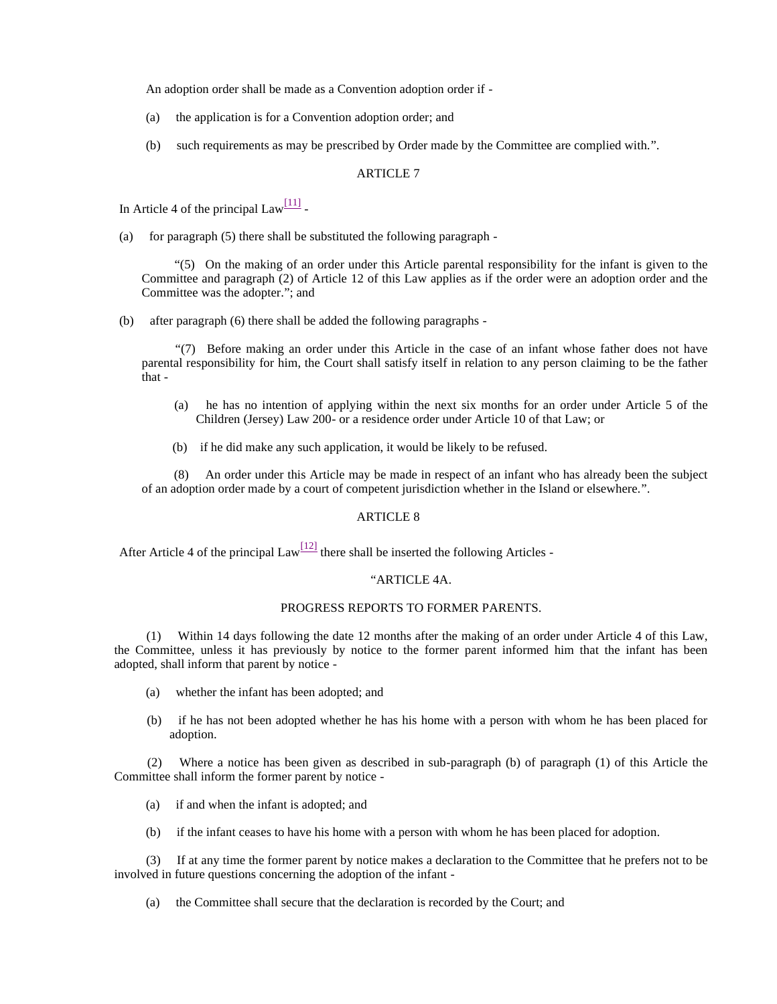An adoption order shall be made as a Convention adoption order if -

- (a) the application is for a Convention adoption order; and
- (b) such requirements as may be prescribed by Order made by the Committee are complied with.".

#### ARTICLE 7

In Article 4 of the principal  $Law^{\left[11\right]}$ .

(a) for paragraph  $(5)$  there shall be substituted the following paragraph -

 "(5) On the making of an order under this Article parental responsibility for the infant is given to the Committee and paragraph (2) of Article 12 of this Law applies as if the order were an adoption order and the Committee was the adopter."; and

(b) after paragraph (6) there shall be added the following paragraphs -

 "(7) Before making an order under this Article in the case of an infant whose father does not have parental responsibility for him, the Court shall satisfy itself in relation to any person claiming to be the father that -

- (a) he has no intention of applying within the next six months for an order under Article 5 of the Children (Jersey) Law 200- or a residence order under Article 10 of that Law; or
- (b) if he did make any such application, it would be likely to be refused.

An order under this Article may be made in respect of an infant who has already been the subject of an adoption order made by a court of competent jurisdiction whether in the Island or elsewhere.".

### ARTICLE 8

After Article 4 of the principal Law<sup>[12]</sup> there shall be inserted the following Articles -

#### "ARTICLE 4A.

### PROGRESS REPORTS TO FORMER PARENTS.

 (1) Within 14 days following the date 12 months after the making of an order under Article 4 of this Law, the Committee, unless it has previously by notice to the former parent informed him that the infant has been adopted, shall inform that parent by notice -

- (a) whether the infant has been adopted; and
- (b) if he has not been adopted whether he has his home with a person with whom he has been placed for adoption.

 (2) Where a notice has been given as described in sub-paragraph (b) of paragraph (1) of this Article the Committee shall inform the former parent by notice -

- (a) if and when the infant is adopted; and
- (b) if the infant ceases to have his home with a person with whom he has been placed for adoption.

 (3) If at any time the former parent by notice makes a declaration to the Committee that he prefers not to be involved in future questions concerning the adoption of the infant -

(a) the Committee shall secure that the declaration is recorded by the Court; and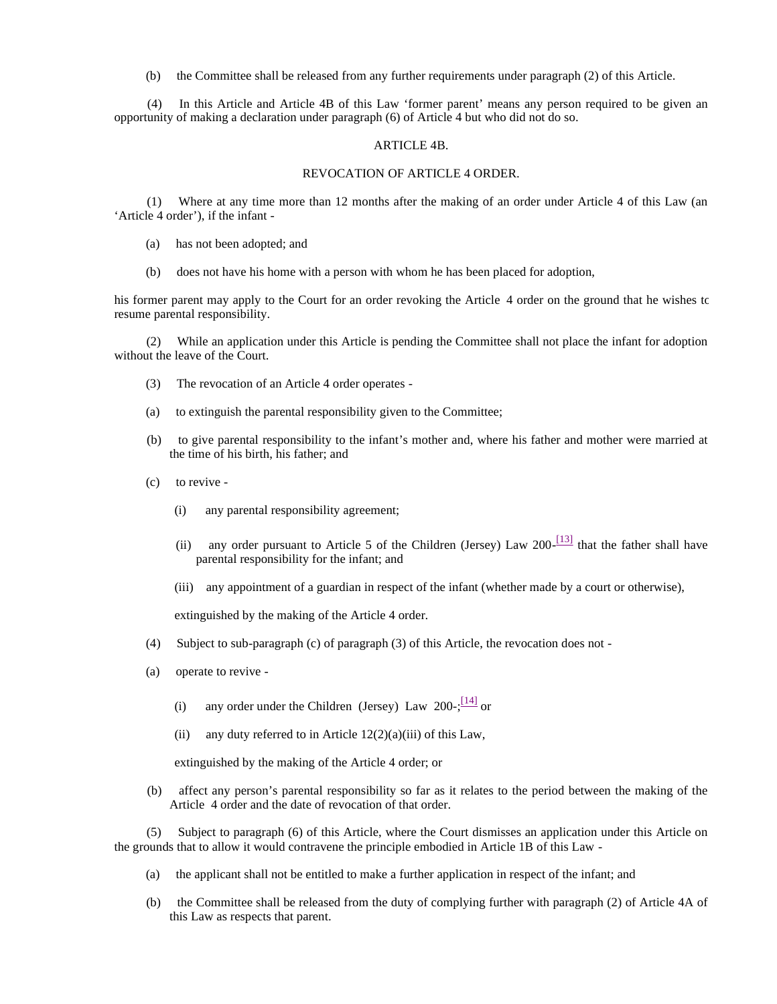(b) the Committee shall be released from any further requirements under paragraph (2) of this Article.

 (4) In this Article and Article 4B of this Law 'former parent' means any person required to be given an opportunity of making a declaration under paragraph (6) of Article 4 but who did not do so.

#### ARTICLE 4B.

### REVOCATION OF ARTICLE 4 ORDER.

 (1) Where at any time more than 12 months after the making of an order under Article 4 of this Law (an 'Article 4 order'), if the infant -

- (a) has not been adopted; and
- (b) does not have his home with a person with whom he has been placed for adoption,

his former parent may apply to the Court for an order revoking the Article 4 order on the ground that he wishes to resume parental responsibility.

 (2) While an application under this Article is pending the Committee shall not place the infant for adoption without the leave of the Court.

- (3) The revocation of an Article 4 order operates -
- (a) to extinguish the parental responsibility given to the Committee;
- (b) to give parental responsibility to the infant's mother and, where his father and mother were married at the time of his birth, his father; and
- (c) to revive
	- (i) any parental responsibility agreement;
- (ii) any order pursuant to Article 5 of the Children (Jersey) Law 200- $\frac{[13]}{[13]}$  that the father shall have parental responsibility for the infant; and
	- (iii) any appointment of a guardian in respect of the infant (whether made by a court or otherwise),

extinguished by the making of the Article 4 order.

- (4) Subject to sub-paragraph (c) of paragraph (3) of this Article, the revocation does not -
- (a) operate to revive -
- (i) any order under the Children (Jersey) Law  $200 \frac{14}{14}$  or
	- (ii) any duty referred to in Article  $12(2)(a)(iii)$  of this Law,

extinguished by the making of the Article 4 order; or

 (b) affect any person's parental responsibility so far as it relates to the period between the making of the Article 4 order and the date of revocation of that order.

 (5) Subject to paragraph (6) of this Article, where the Court dismisses an application under this Article on the grounds that to allow it would contravene the principle embodied in Article 1B of this Law -

- (a) the applicant shall not be entitled to make a further application in respect of the infant; and
- (b) the Committee shall be released from the duty of complying further with paragraph (2) of Article 4A of this Law as respects that parent.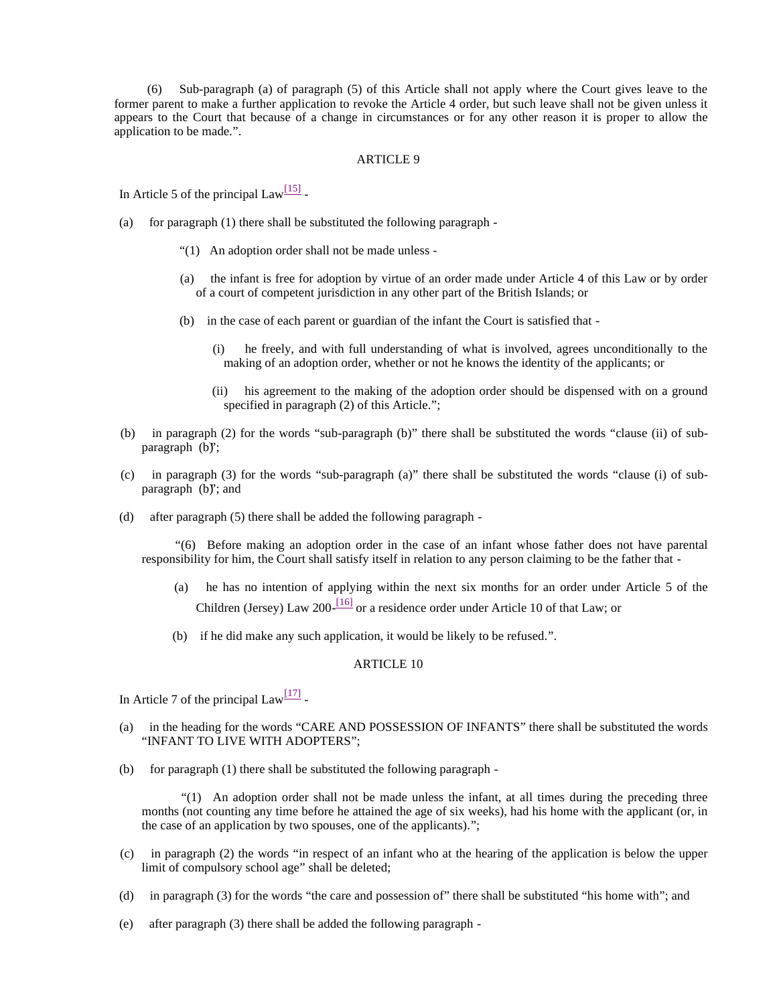(6) Sub-paragraph (a) of paragraph (5) of this Article shall not apply where the Court gives leave to the former parent to make a further application to revoke the Article 4 order, but such leave shall not be given unless it appears to the Court that because of a change in circumstances or for any other reason it is proper to allow the application to be made.".

### ARTICLE 9

In Article 5 of the principal  $Law^{\left[15\right]}$ .

- (a) for paragraph (1) there shall be substituted the following paragraph
	- "(1) An adoption order shall not be made unless -
	- (a) the infant is free for adoption by virtue of an order made under Article 4 of this Law or by order of a court of competent jurisdiction in any other part of the British Islands; or
	- (b) in the case of each parent or guardian of the infant the Court is satisfied that
		- (i) he freely, and with full understanding of what is involved, agrees unconditionally to the making of an adoption order, whether or not he knows the identity of the applicants; or
		- (ii) his agreement to the making of the adoption order should be dispensed with on a ground specified in paragraph (2) of this Article.";
- (b) in paragraph (2) for the words "sub-paragraph (b)" there shall be substituted the words "clause (ii) of subparagraph (b)';
- (c) in paragraph (3) for the words "sub-paragraph (a)" there shall be substituted the words "clause (i) of subparagraph (b)"; and
- (d) after paragraph (5) there shall be added the following paragraph -

 "(6) Before making an adoption order in the case of an infant whose father does not have parental responsibility for him, the Court shall satisfy itself in relation to any person claiming to be the father that -

- (a) he has no intention of applying within the next six months for an order under Article 5 of the Children (Jersey) Law 200-<sup>[16]</sup> or a residence order under Article 10 of that Law; or
- (b) if he did make any such application, it would be likely to be refused.".

### ARTICLE 10

In Article 7 of the principal  $Law^{\left[17\right]}$ .

- (a) in the heading for the words "CARE AND POSSESSION OF INFANTS" there shall be substituted the words "INFANT TO LIVE WITH ADOPTERS";
- (b) for paragraph (1) there shall be substituted the following paragraph -

 "(1) An adoption order shall not be made unless the infant, at all times during the preceding three months (not counting any time before he attained the age of six weeks), had his home with the applicant (or, in the case of an application by two spouses, one of the applicants).";

- (c) in paragraph (2) the words "in respect of an infant who at the hearing of the application is below the upper limit of compulsory school age" shall be deleted;
- (d) in paragraph (3) for the words "the care and possession of" there shall be substituted "his home with"; and
- (e) after paragraph (3) there shall be added the following paragraph -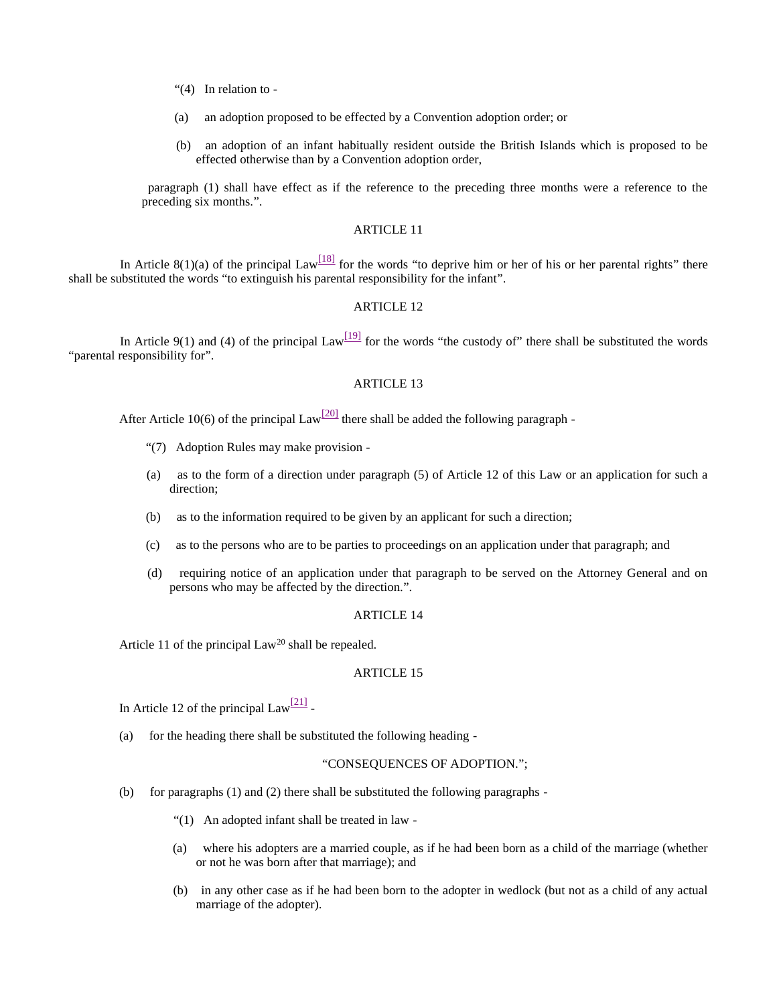"(4) In relation to -

- (a) an adoption proposed to be effected by a Convention adoption order; or
- (b) an adoption of an infant habitually resident outside the British Islands which is proposed to be effected otherwise than by a Convention adoption order,

 paragraph (1) shall have effect as if the reference to the preceding three months were a reference to the preceding six months.".

#### ARTICLE 11

In Article 8(1)(a) of the principal Law<sup>[18]</sup> for the words "to deprive him or her of his or her parental rights" there shall be substituted the words "to extinguish his parental responsibility for the infant".

#### ARTICLE 12

In Article 9(1) and (4) of the principal Law<sup>[19]</sup> for the words "the custody of" there shall be substituted the words "parental responsibility for".

# ARTICLE 13

After Article 10(6) of the principal Law<sup>[20]</sup> there shall be added the following paragraph -

- "(7) Adoption Rules may make provision -
- (a) as to the form of a direction under paragraph (5) of Article 12 of this Law or an application for such a direction;
- (b) as to the information required to be given by an applicant for such a direction;
- (c) as to the persons who are to be parties to proceedings on an application under that paragraph; and
- (d) requiring notice of an application under that paragraph to be served on the Attorney General and on persons who may be affected by the direction.".

#### ARTICLE 14

Article 11 of the principal  $Law^{20}$  shall be repealed.

#### ARTICLE 15

In Article 12 of the principal  $Law^{\[21]}$ 

(a) for the heading there shall be substituted the following heading -

# "CONSEQUENCES OF ADOPTION.";

- (b) for paragraphs (1) and (2) there shall be substituted the following paragraphs
	- "(1) An adopted infant shall be treated in law -
	- (a) where his adopters are a married couple, as if he had been born as a child of the marriage (whether or not he was born after that marriage); and
	- (b) in any other case as if he had been born to the adopter in wedlock (but not as a child of any actual marriage of the adopter).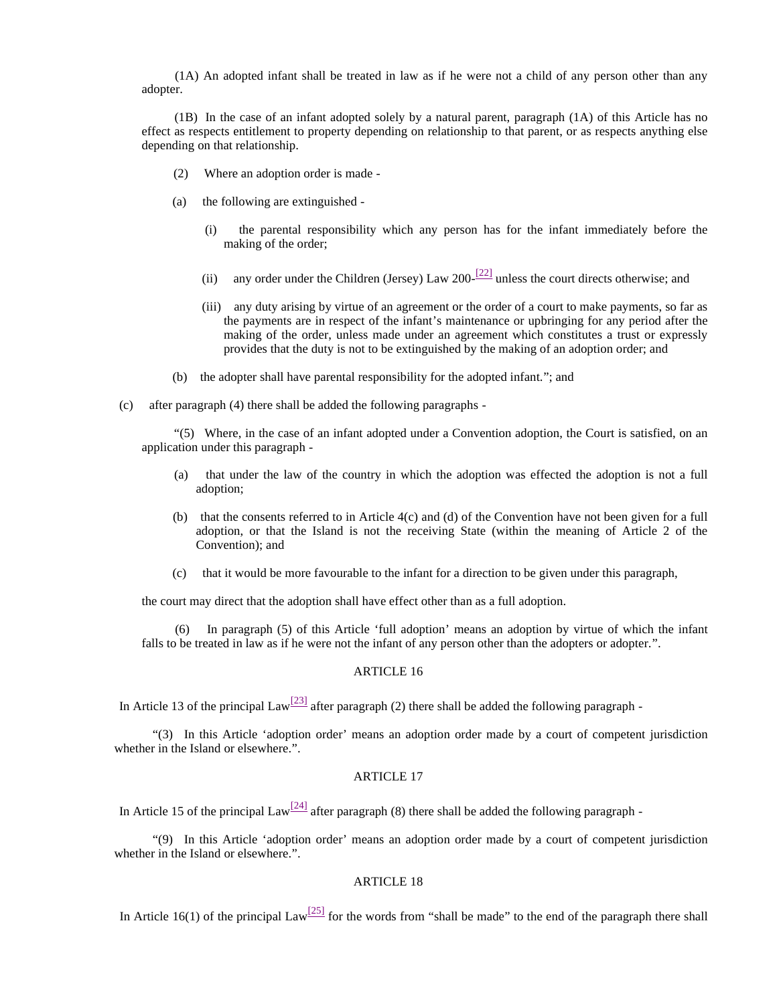(1A) An adopted infant shall be treated in law as if he were not a child of any person other than any adopter.

 (1B) In the case of an infant adopted solely by a natural parent, paragraph (1A) of this Article has no effect as respects entitlement to property depending on relationship to that parent, or as respects anything else depending on that relationship.

- (2) Where an adoption order is made -
- (a) the following are extinguished
	- (i) the parental responsibility which any person has for the infant immediately before the making of the order;
- (ii) any order under the Children (Jersey) Law 200- $\frac{[22]}{]}$  unless the court directs otherwise; and
	- (iii) any duty arising by virtue of an agreement or the order of a court to make payments, so far as the payments are in respect of the infant's maintenance or upbringing for any period after the making of the order, unless made under an agreement which constitutes a trust or expressly provides that the duty is not to be extinguished by the making of an adoption order; and
	- (b) the adopter shall have parental responsibility for the adopted infant."; and
- (c) after paragraph (4) there shall be added the following paragraphs -

 "(5) Where, in the case of an infant adopted under a Convention adoption, the Court is satisfied, on an application under this paragraph -

- (a) that under the law of the country in which the adoption was effected the adoption is not a full adoption;
- (b) that the consents referred to in Article 4(c) and (d) of the Convention have not been given for a full adoption, or that the Island is not the receiving State (within the meaning of Article 2 of the Convention); and
- (c) that it would be more favourable to the infant for a direction to be given under this paragraph,

the court may direct that the adoption shall have effect other than as a full adoption.

 (6) In paragraph (5) of this Article 'full adoption' means an adoption by virtue of which the infant falls to be treated in law as if he were not the infant of any person other than the adopters or adopter.".

# ARTICLE 16

In Article 13 of the principal Law<sup>[23]</sup> after paragraph (2) there shall be added the following paragraph -

 "(3) In this Article 'adoption order' means an adoption order made by a court of competent jurisdiction whether in the Island or elsewhere.".

#### ARTICLE 17

In Article 15 of the principal Law<sup>[24]</sup> after paragraph (8) there shall be added the following paragraph -

 "(9) In this Article 'adoption order' means an adoption order made by a court of competent jurisdiction whether in the Island or elsewhere.".

### ARTICLE 18

In Article 16(1) of the principal Law<sup>[25]</sup> for the words from "shall be made" to the end of the paragraph there shall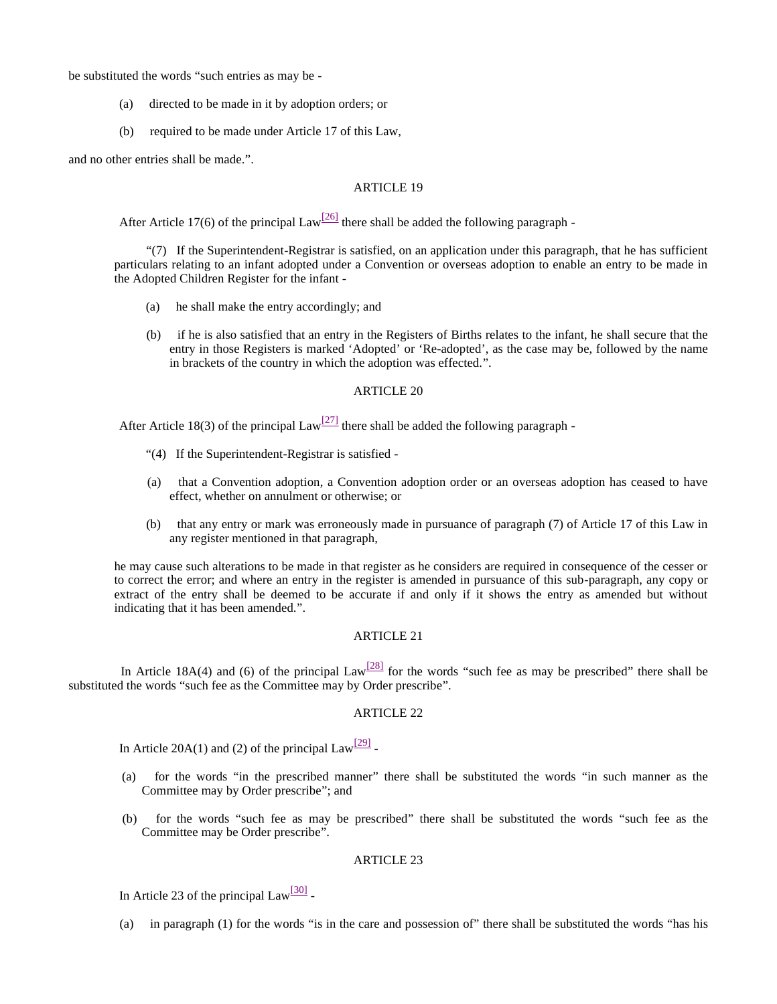be substituted the words "such entries as may be -

- (a) directed to be made in it by adoption orders; or
- (b) required to be made under Article 17 of this Law,

and no other entries shall be made.".

### ARTICLE 19

After Article 17(6) of the principal Law<sup>[26]</sup> there shall be added the following paragraph -

 "(7) If the Superintendent-Registrar is satisfied, on an application under this paragraph, that he has sufficient particulars relating to an infant adopted under a Convention or overseas adoption to enable an entry to be made in the Adopted Children Register for the infant -

- (a) he shall make the entry accordingly; and
- (b) if he is also satisfied that an entry in the Registers of Births relates to the infant, he shall secure that the entry in those Registers is marked 'Adopted' or 'Re-adopted', as the case may be, followed by the name in brackets of the country in which the adoption was effected.".

### ARTICLE 20

After Article 18(3) of the principal Law<sup>[27]</sup> there shall be added the following paragraph -

- "(4) If the Superintendent-Registrar is satisfied -
- (a) that a Convention adoption, a Convention adoption order or an overseas adoption has ceased to have effect, whether on annulment or otherwise; or
- (b) that any entry or mark was erroneously made in pursuance of paragraph (7) of Article 17 of this Law in any register mentioned in that paragraph,

he may cause such alterations to be made in that register as he considers are required in consequence of the cesser or to correct the error; and where an entry in the register is amended in pursuance of this sub-paragraph, any copy or extract of the entry shall be deemed to be accurate if and only if it shows the entry as amended but without indicating that it has been amended.".

### ARTICLE 21

In Article 18A(4) and (6) of the principal Law<sup>[28]</sup> for the words "such fee as may be prescribed" there shall be substituted the words "such fee as the Committee may by Order prescribe".

#### ARTICLE 22

In Article 20A(1) and (2) of the principal  $Law^{[29]}$  -

- (a) for the words "in the prescribed manner" there shall be substituted the words "in such manner as the Committee may by Order prescribe"; and
- (b) for the words "such fee as may be prescribed" there shall be substituted the words "such fee as the Committee may be Order prescribe".

#### ARTICLE 23

In Article 23 of the principal  $Law^{\left[30\right]}$ 

(a) in paragraph (1) for the words "is in the care and possession of" there shall be substituted the words "has his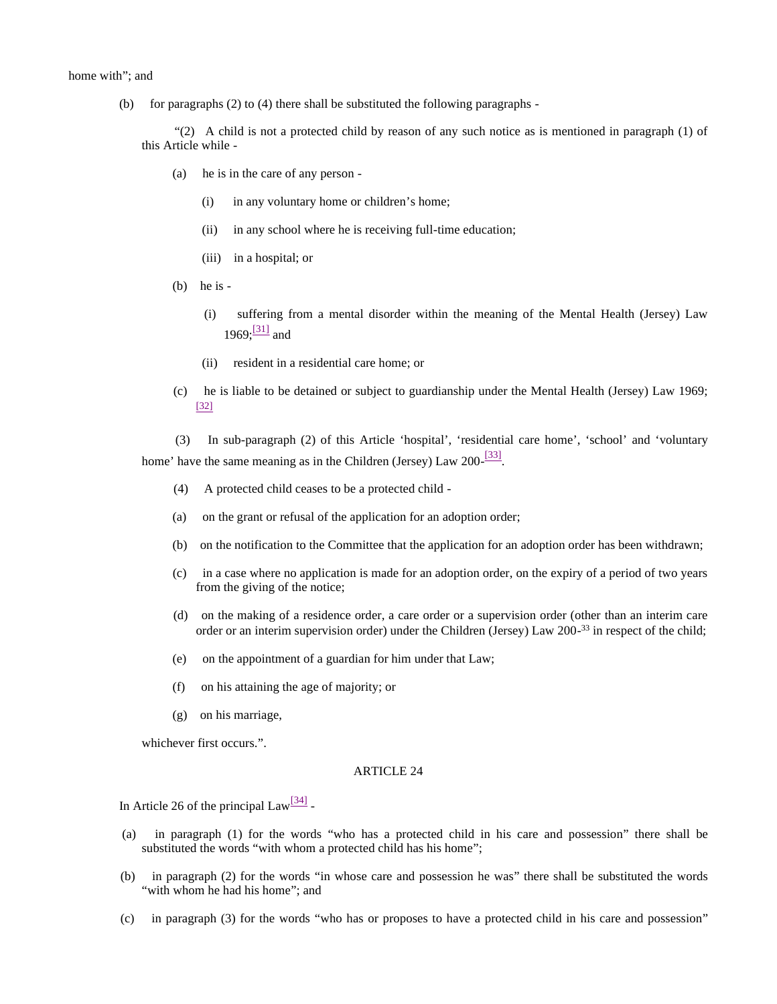#### home with"; and

(b) for paragraphs  $(2)$  to  $(4)$  there shall be substituted the following paragraphs -

 "(2) A child is not a protected child by reason of any such notice as is mentioned in paragraph (1) of this Article while -

- (a) he is in the care of any person
	- (i) in any voluntary home or children's home;
	- (ii) in any school where he is receiving full-time education;
	- (iii) in a hospital; or
- (b) he is
	- (i) suffering from a mental disorder within the meaning of the Mental Health (Jersey) Law 1969; $\frac{[31]}{31}$  and
	- (ii) resident in a residential care home; or
- (c) he is liable to be detained or subject to guardianship under the Mental Health (Jersey) Law 1969; [32]

 (3) In sub-paragraph (2) of this Article 'hospital', 'residential care home', 'school' and 'voluntary home' have the same meaning as in the Children (Jersey) Law  $200 - \frac{[33]}{]}$ .

- (4) A protected child ceases to be a protected child -
- (a) on the grant or refusal of the application for an adoption order;
- (b) on the notification to the Committee that the application for an adoption order has been withdrawn;
- (c) in a case where no application is made for an adoption order, on the expiry of a period of two years from the giving of the notice;
- (d) on the making of a residence order, a care order or a supervision order (other than an interim care order or an interim supervision order) under the Children (Jersey) Law 200-<sup>33</sup> in respect of the child;
- (e) on the appointment of a guardian for him under that Law;
- (f) on his attaining the age of majority; or
- (g) on his marriage,

whichever first occurs.".

#### **ARTICLE 24**

In Article 26 of the principal  $Law^{\left[34\right]}$ .

- (a) in paragraph (1) for the words "who has a protected child in his care and possession" there shall be substituted the words "with whom a protected child has his home";
- (b) in paragraph (2) for the words "in whose care and possession he was" there shall be substituted the words "with whom he had his home"; and
- (c) in paragraph (3) for the words "who has or proposes to have a protected child in his care and possession"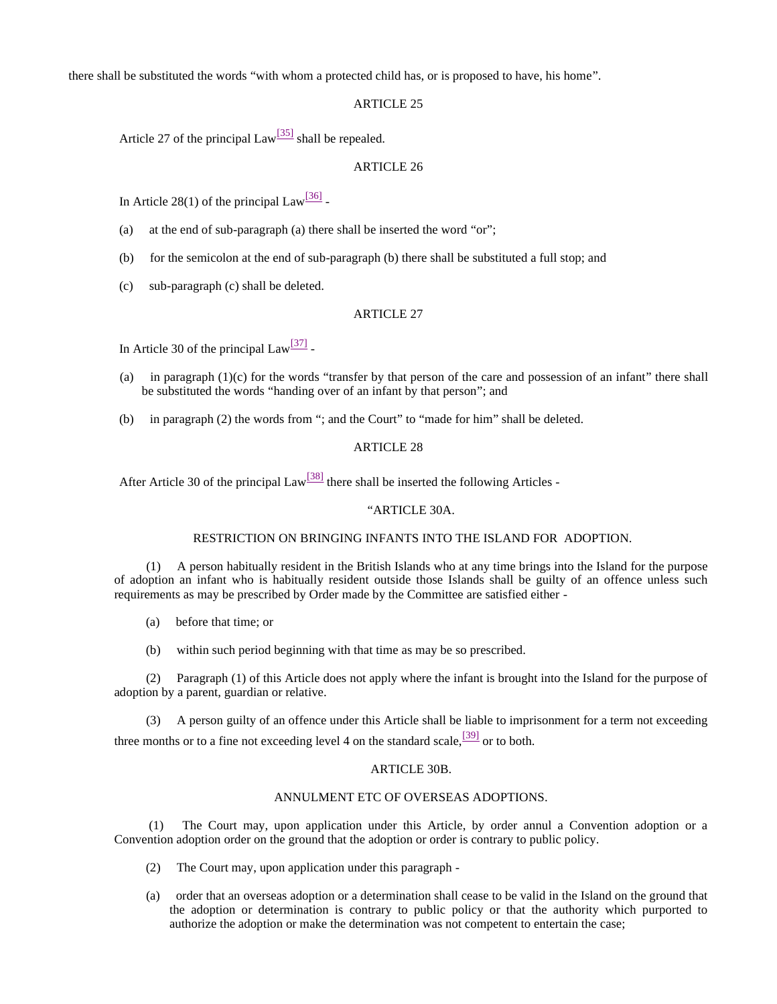there shall be substituted the words "with whom a protected child has, or is proposed to have, his home".

#### ARTICLE 25

Article 27 of the principal  $Law^{\{35\}}$  shall be repealed.

# ARTICLE 26

In Article 28(1) of the principal  $Law^{\left[36\right]}$ .

- (a) at the end of sub-paragraph (a) there shall be inserted the word "or";
- (b) for the semicolon at the end of sub-paragraph (b) there shall be substituted a full stop; and
- (c) sub-paragraph (c) shall be deleted.

# ARTICLE 27

In Article 30 of the principal  $Law^{\left[37\right]}$ .

- (a) in paragraph  $(1)(c)$  for the words "transfer by that person of the care and possession of an infant" there shall be substituted the words "handing over of an infant by that person"; and
- (b) in paragraph (2) the words from "; and the Court" to "made for him" shall be deleted.

#### ARTICLE 28

After Article 30 of the principal  $Law^{[38]}$  there shall be inserted the following Articles -

### "ARTICLE 30A.

### RESTRICTION ON BRINGING INFANTS INTO THE ISLAND FOR ADOPTION.

 (1) A person habitually resident in the British Islands who at any time brings into the Island for the purpose of adoption an infant who is habitually resident outside those Islands shall be guilty of an offence unless such requirements as may be prescribed by Order made by the Committee are satisfied either -

- (a) before that time; or
- (b) within such period beginning with that time as may be so prescribed.

 (2) Paragraph (1) of this Article does not apply where the infant is brought into the Island for the purpose of adoption by a parent, guardian or relative.

 (3) A person guilty of an offence under this Article shall be liable to imprisonment for a term not exceeding three months or to a fine not exceeding level 4 on the standard scale,  $\frac{[39]}{]}$  or to both.

#### ARTICLE 30B.

### ANNULMENT ETC OF OVERSEAS ADOPTIONS.

 (1) The Court may, upon application under this Article, by order annul a Convention adoption or a Convention adoption order on the ground that the adoption or order is contrary to public policy.

- (2) The Court may, upon application under this paragraph -
- (a) order that an overseas adoption or a determination shall cease to be valid in the Island on the ground that the adoption or determination is contrary to public policy or that the authority which purported to authorize the adoption or make the determination was not competent to entertain the case;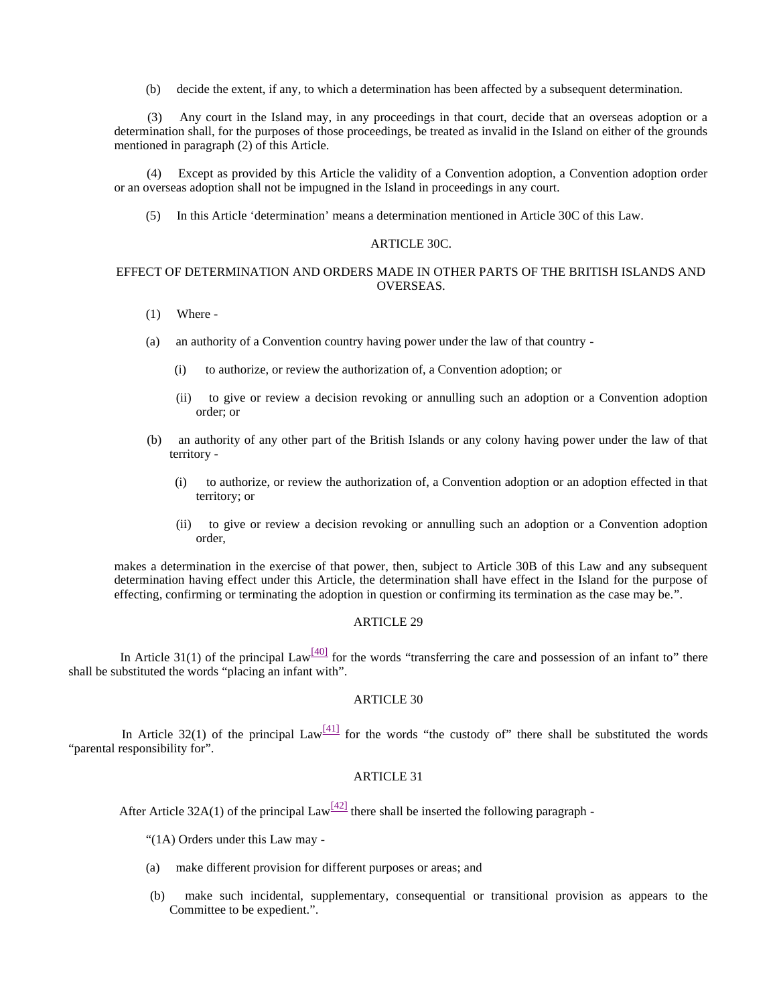(b) decide the extent, if any, to which a determination has been affected by a subsequent determination.

 (3) Any court in the Island may, in any proceedings in that court, decide that an overseas adoption or a determination shall, for the purposes of those proceedings, be treated as invalid in the Island on either of the grounds mentioned in paragraph (2) of this Article.

 (4) Except as provided by this Article the validity of a Convention adoption, a Convention adoption order or an overseas adoption shall not be impugned in the Island in proceedings in any court.

(5) In this Article 'determination' means a determination mentioned in Article 30C of this Law.

#### ARTICLE 30C.

# EFFECT OF DETERMINATION AND ORDERS MADE IN OTHER PARTS OF THE BRITISH ISLANDS AND OVERSEAS.

- (1) Where -
- (a) an authority of a Convention country having power under the law of that country
	- (i) to authorize, or review the authorization of, a Convention adoption; or
	- (ii) to give or review a decision revoking or annulling such an adoption or a Convention adoption order; or
- (b) an authority of any other part of the British Islands or any colony having power under the law of that territory -
	- (i) to authorize, or review the authorization of, a Convention adoption or an adoption effected in that territory; or
	- (ii) to give or review a decision revoking or annulling such an adoption or a Convention adoption order,

makes a determination in the exercise of that power, then, subject to Article 30B of this Law and any subsequent determination having effect under this Article, the determination shall have effect in the Island for the purpose of effecting, confirming or terminating the adoption in question or confirming its termination as the case may be.".

#### ARTICLE 29

In Article 31(1) of the principal Law<sup>[40]</sup> for the words "transferring the care and possession of an infant to" there shall be substituted the words "placing an infant with".

#### ARTICLE 30

In Article 32(1) of the principal  $Law^{[41]}$  for the words "the custody of" there shall be substituted the words "parental responsibility for".

#### ARTICLE 31

After Article 32A(1) of the principal Law<sup>[42]</sup> there shall be inserted the following paragraph -

"(1A) Orders under this Law may -

- (a) make different provision for different purposes or areas; and
- (b) make such incidental, supplementary, consequential or transitional provision as appears to the Committee to be expedient.".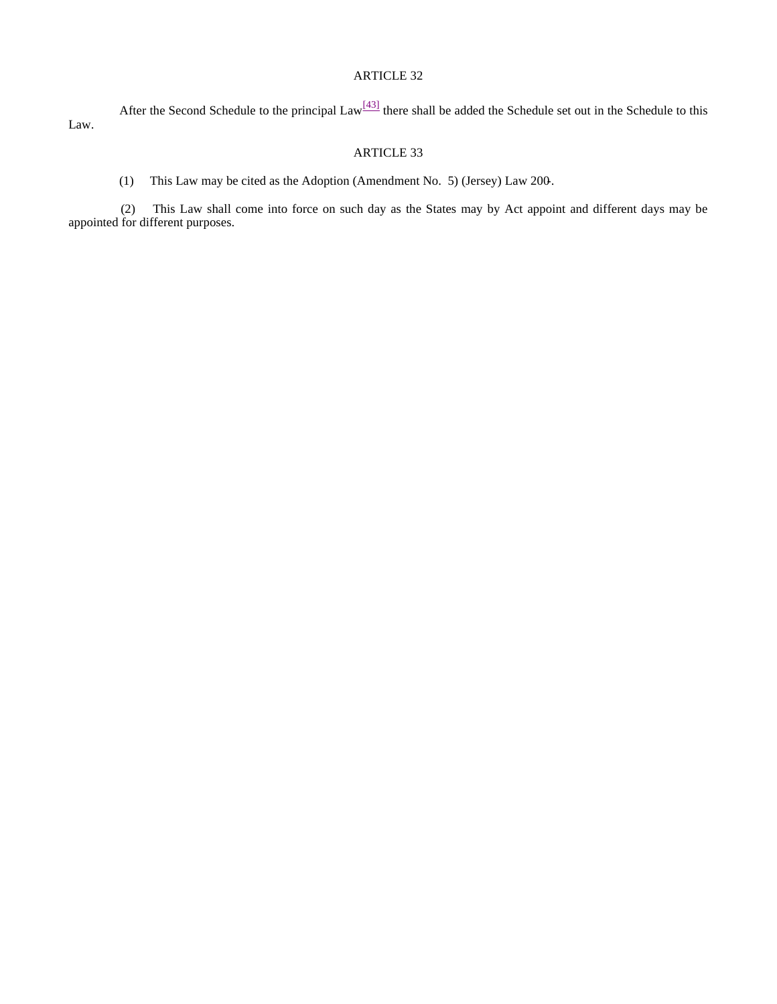# ARTICLE 32

After the Second Schedule to the principal  $Law^{[43]}$  there shall be added the Schedule set out in the Schedule to this Law.

# ARTICLE 33

(1) This Law may be cited as the Adoption (Amendment No. 5) (Jersey) Law 200-.

 (2) This Law shall come into force on such day as the States may by Act appoint and different days may be appointed for different purposes.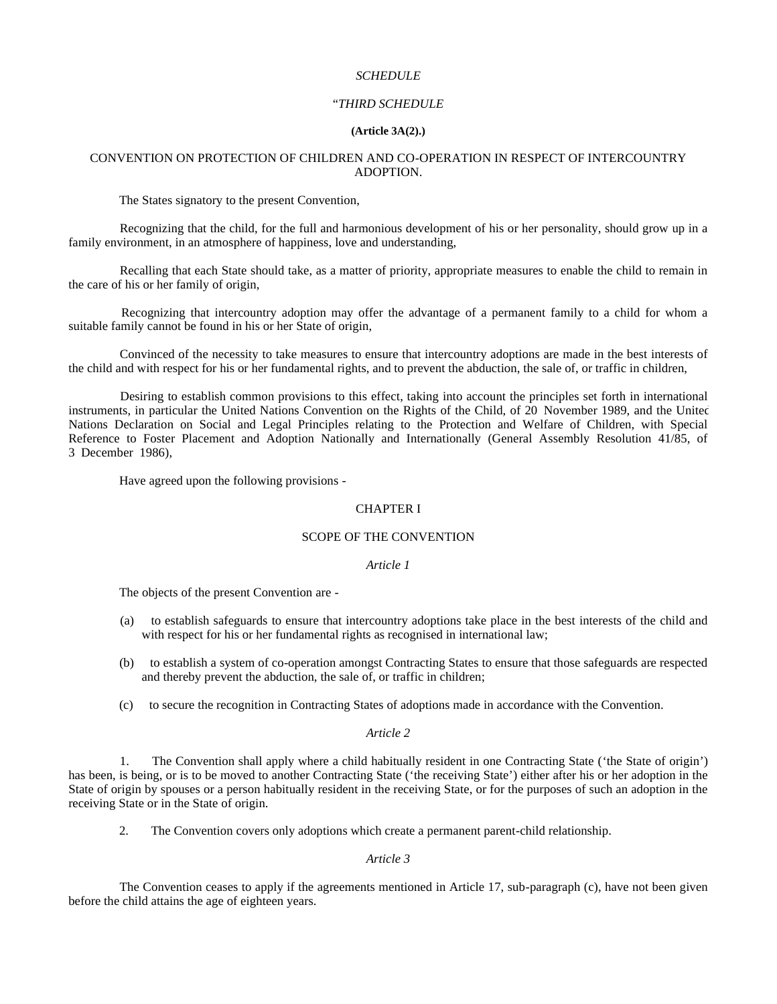### *SCHEDULE*

#### "*THIRD SCHEDULE*

#### **(Article 3A(2).)**

### CONVENTION ON PROTECTION OF CHILDREN AND CO-OPERATION IN RESPECT OF INTERCOUNTRY ADOPTION.

The States signatory to the present Convention,

 Recognizing that the child, for the full and harmonious development of his or her personality, should grow up in a family environment, in an atmosphere of happiness, love and understanding,

 Recalling that each State should take, as a matter of priority, appropriate measures to enable the child to remain in the care of his or her family of origin,

 Recognizing that intercountry adoption may offer the advantage of a permanent family to a child for whom a suitable family cannot be found in his or her State of origin,

 Convinced of the necessity to take measures to ensure that intercountry adoptions are made in the best interests of the child and with respect for his or her fundamental rights, and to prevent the abduction, the sale of, or traffic in children,

 Desiring to establish common provisions to this effect, taking into account the principles set forth in international instruments, in particular the United Nations Convention on the Rights of the Child, of 20 November 1989, and the United Nations Declaration on Social and Legal Principles relating to the Protection and Welfare of Children, with Special Reference to Foster Placement and Adoption Nationally and Internationally (General Assembly Resolution 41/85, of 3 December 1986),

Have agreed upon the following provisions -

#### CHAPTER I

### SCOPE OF THE CONVENTION

# *Article 1*

The objects of the present Convention are -

- (a) to establish safeguards to ensure that intercountry adoptions take place in the best interests of the child and with respect for his or her fundamental rights as recognised in international law;
- (b) to establish a system of co-operation amongst Contracting States to ensure that those safeguards are respected and thereby prevent the abduction, the sale of, or traffic in children;
- (c) to secure the recognition in Contracting States of adoptions made in accordance with the Convention.

### *Article 2*

 1. The Convention shall apply where a child habitually resident in one Contracting State ('the State of origin') has been, is being, or is to be moved to another Contracting State ('the receiving State') either after his or her adoption in the State of origin by spouses or a person habitually resident in the receiving State, or for the purposes of such an adoption in the receiving State or in the State of origin.

2. The Convention covers only adoptions which create a permanent parent-child relationship.

#### *Article 3*

 The Convention ceases to apply if the agreements mentioned in Article 17, sub-paragraph (c), have not been given before the child attains the age of eighteen years.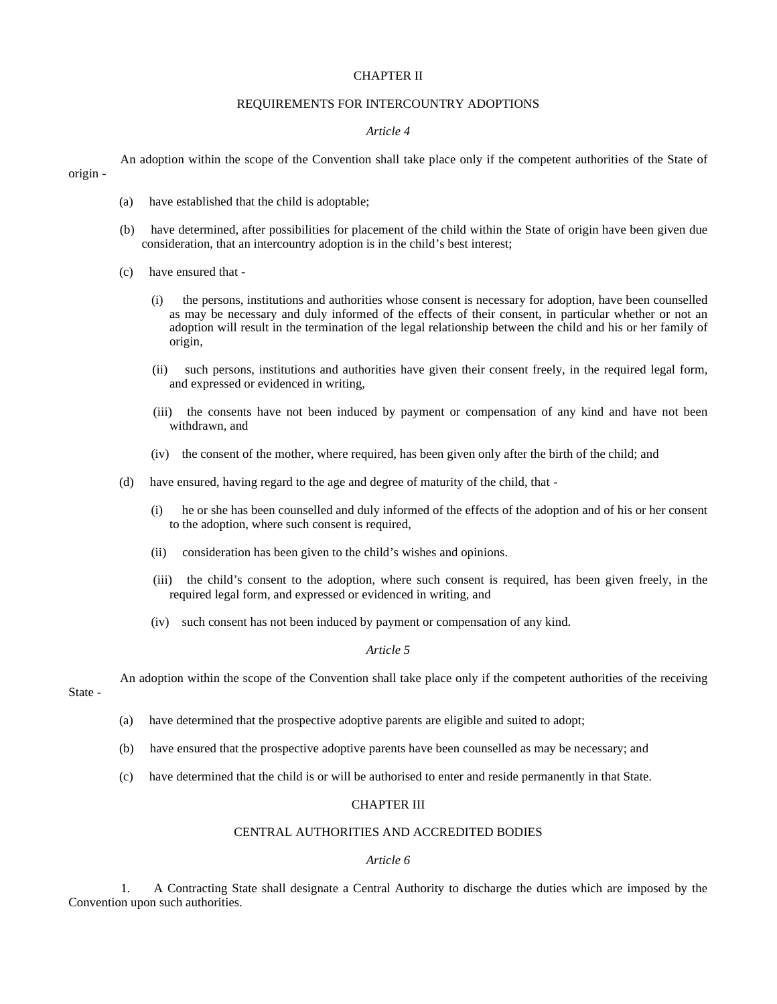### CHAPTER II

### REQUIREMENTS FOR INTERCOUNTRY ADOPTIONS

### *Article 4*

 An adoption within the scope of the Convention shall take place only if the competent authorities of the State of origin -

- (a) have established that the child is adoptable;
- (b) have determined, after possibilities for placement of the child within the State of origin have been given due consideration, that an intercountry adoption is in the child's best interest;
- (c) have ensured that
	- (i) the persons, institutions and authorities whose consent is necessary for adoption, have been counselled as may be necessary and duly informed of the effects of their consent, in particular whether or not an adoption will result in the termination of the legal relationship between the child and his or her family of origin,
	- (ii) such persons, institutions and authorities have given their consent freely, in the required legal form, and expressed or evidenced in writing,
	- (iii) the consents have not been induced by payment or compensation of any kind and have not been withdrawn, and
	- (iv) the consent of the mother, where required, has been given only after the birth of the child; and
- (d) have ensured, having regard to the age and degree of maturity of the child, that
	- (i) he or she has been counselled and duly informed of the effects of the adoption and of his or her consent to the adoption, where such consent is required,
	- (ii) consideration has been given to the child's wishes and opinions.
	- (iii) the child's consent to the adoption, where such consent is required, has been given freely, in the required legal form, and expressed or evidenced in writing, and
	- (iv) such consent has not been induced by payment or compensation of any kind.

# *Article 5*

An adoption within the scope of the Convention shall take place only if the competent authorities of the receiving

State -

- (a) have determined that the prospective adoptive parents are eligible and suited to adopt;
- (b) have ensured that the prospective adoptive parents have been counselled as may be necessary; and
- (c) have determined that the child is or will be authorised to enter and reside permanently in that State.

# CHAPTER III

#### CENTRAL AUTHORITIES AND ACCREDITED BODIES

#### *Article 6*

 1. A Contracting State shall designate a Central Authority to discharge the duties which are imposed by the Convention upon such authorities.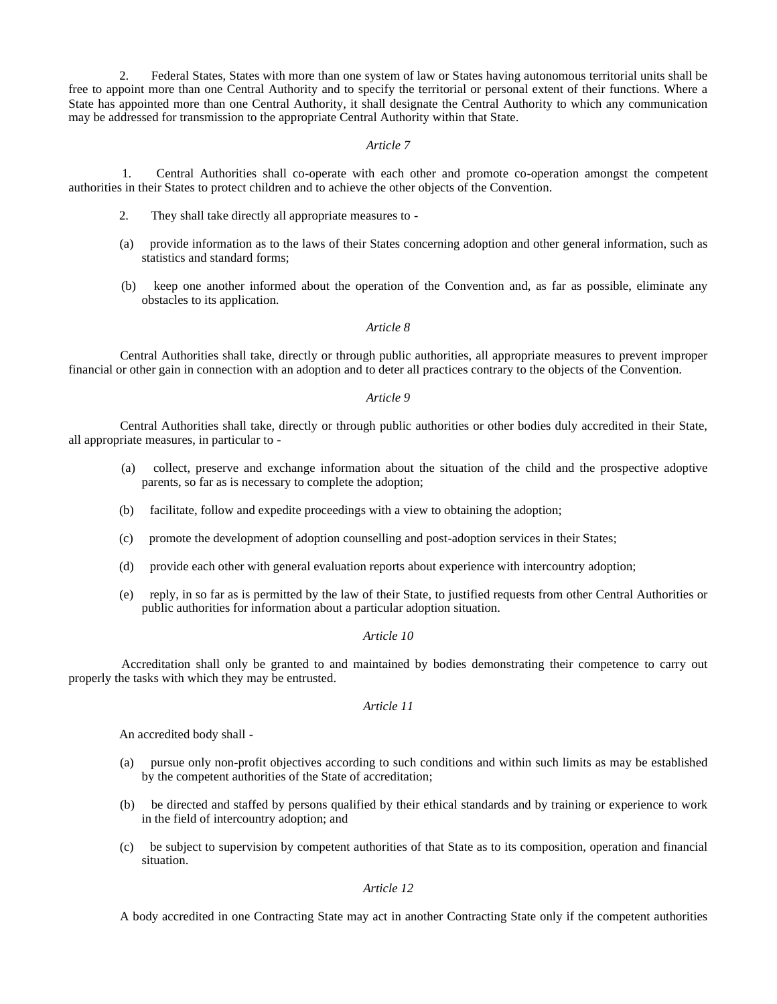2. Federal States, States with more than one system of law or States having autonomous territorial units shall be free to appoint more than one Central Authority and to specify the territorial or personal extent of their functions. Where a State has appointed more than one Central Authority, it shall designate the Central Authority to which any communication may be addressed for transmission to the appropriate Central Authority within that State.

### *Article 7*

 1. Central Authorities shall co-operate with each other and promote co-operation amongst the competent authorities in their States to protect children and to achieve the other objects of the Convention.

- 2. They shall take directly all appropriate measures to -
- (a) provide information as to the laws of their States concerning adoption and other general information, such as statistics and standard forms;
- (b) keep one another informed about the operation of the Convention and, as far as possible, eliminate any obstacles to its application.

# *Article 8*

 Central Authorities shall take, directly or through public authorities, all appropriate measures to prevent improper financial or other gain in connection with an adoption and to deter all practices contrary to the objects of the Convention.

### *Article 9*

 Central Authorities shall take, directly or through public authorities or other bodies duly accredited in their State, all appropriate measures, in particular to -

- (a) collect, preserve and exchange information about the situation of the child and the prospective adoptive parents, so far as is necessary to complete the adoption;
- (b) facilitate, follow and expedite proceedings with a view to obtaining the adoption;
- (c) promote the development of adoption counselling and post-adoption services in their States;
- (d) provide each other with general evaluation reports about experience with intercountry adoption;
- (e) reply, in so far as is permitted by the law of their State, to justified requests from other Central Authorities or public authorities for information about a particular adoption situation.

#### *Article 10*

 Accreditation shall only be granted to and maintained by bodies demonstrating their competence to carry out properly the tasks with which they may be entrusted.

#### *Article 11*

An accredited body shall -

- (a) pursue only non-profit objectives according to such conditions and within such limits as may be established by the competent authorities of the State of accreditation;
- (b) be directed and staffed by persons qualified by their ethical standards and by training or experience to work in the field of intercountry adoption; and
- (c) be subject to supervision by competent authorities of that State as to its composition, operation and financial situation.

### *Article 12*

A body accredited in one Contracting State may act in another Contracting State only if the competent authorities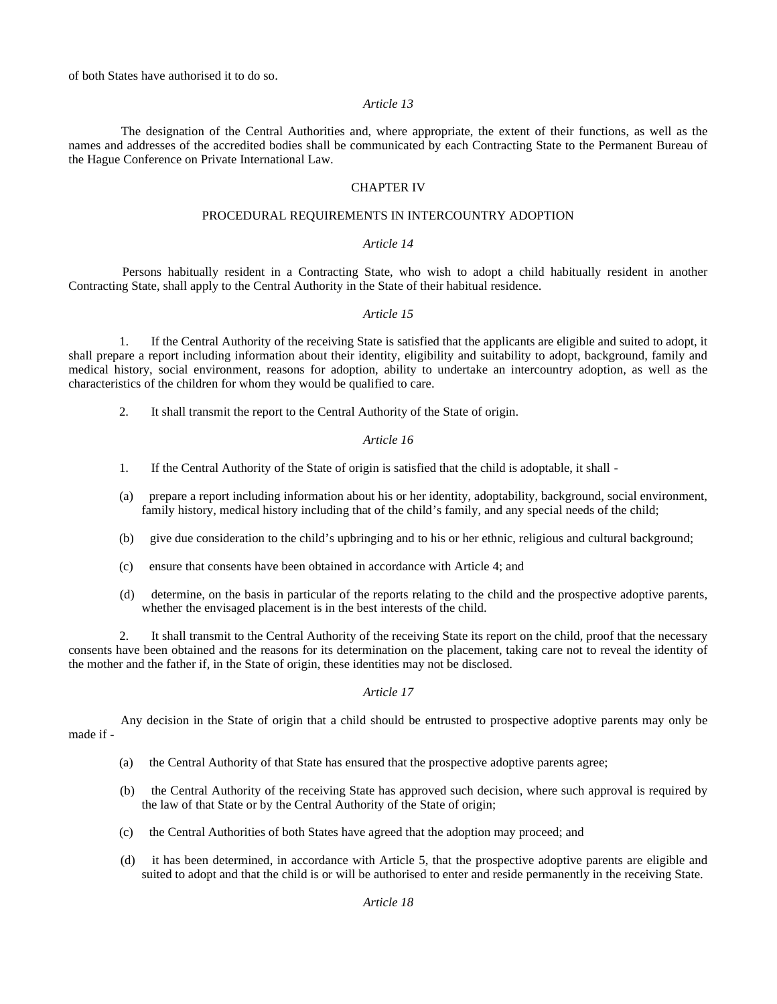of both States have authorised it to do so.

#### *Article 13*

 The designation of the Central Authorities and, where appropriate, the extent of their functions, as well as the names and addresses of the accredited bodies shall be communicated by each Contracting State to the Permanent Bureau of the Hague Conference on Private International Law.

### CHAPTER IV

### PROCEDURAL REQUIREMENTS IN INTERCOUNTRY ADOPTION

### *Article 14*

 Persons habitually resident in a Contracting State, who wish to adopt a child habitually resident in another Contracting State, shall apply to the Central Authority in the State of their habitual residence.

### *Article 15*

 1. If the Central Authority of the receiving State is satisfied that the applicants are eligible and suited to adopt, it shall prepare a report including information about their identity, eligibility and suitability to adopt, background, family and medical history, social environment, reasons for adoption, ability to undertake an intercountry adoption, as well as the characteristics of the children for whom they would be qualified to care.

2. It shall transmit the report to the Central Authority of the State of origin.

# *Article 16*

- 1. If the Central Authority of the State of origin is satisfied that the child is adoptable, it shall -
- (a) prepare a report including information about his or her identity, adoptability, background, social environment, family history, medical history including that of the child's family, and any special needs of the child;
- (b) give due consideration to the child's upbringing and to his or her ethnic, religious and cultural background;
- (c) ensure that consents have been obtained in accordance with Article 4; and
- (d) determine, on the basis in particular of the reports relating to the child and the prospective adoptive parents, whether the envisaged placement is in the best interests of the child.

 2. It shall transmit to the Central Authority of the receiving State its report on the child, proof that the necessary consents have been obtained and the reasons for its determination on the placement, taking care not to reveal the identity of the mother and the father if, in the State of origin, these identities may not be disclosed.

### *Article 17*

 Any decision in the State of origin that a child should be entrusted to prospective adoptive parents may only be made if -

- (a) the Central Authority of that State has ensured that the prospective adoptive parents agree;
- (b) the Central Authority of the receiving State has approved such decision, where such approval is required by the law of that State or by the Central Authority of the State of origin;
- (c) the Central Authorities of both States have agreed that the adoption may proceed; and
- (d) it has been determined, in accordance with Article 5, that the prospective adoptive parents are eligible and suited to adopt and that the child is or will be authorised to enter and reside permanently in the receiving State.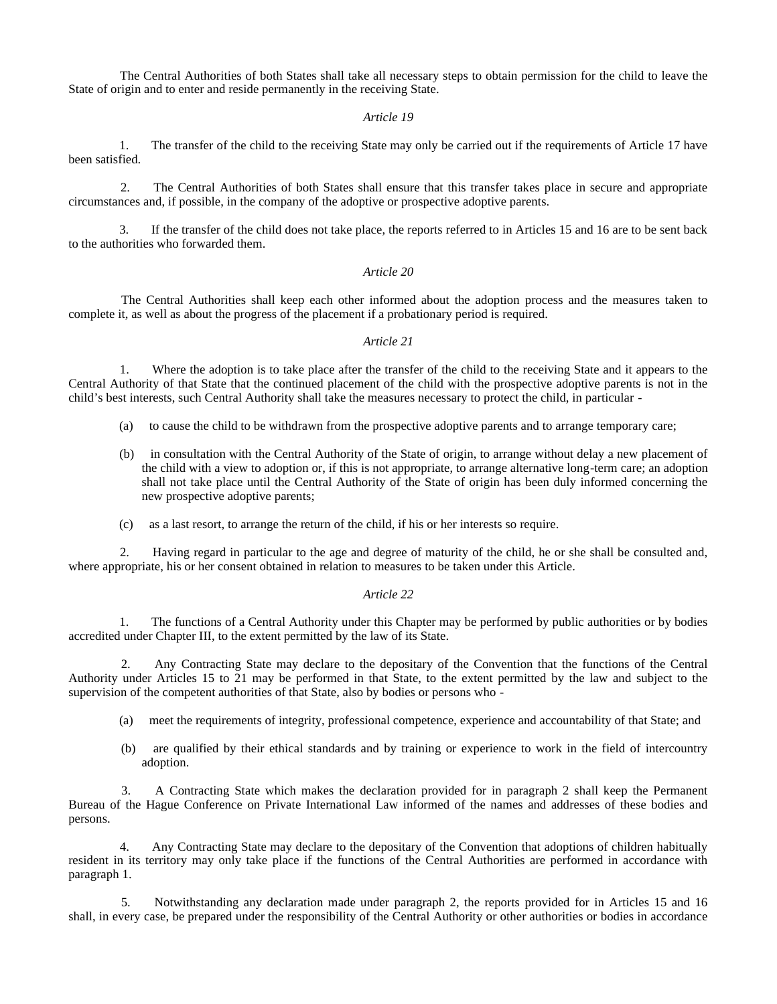The Central Authorities of both States shall take all necessary steps to obtain permission for the child to leave the State of origin and to enter and reside permanently in the receiving State.

#### *Article 19*

 1. The transfer of the child to the receiving State may only be carried out if the requirements of Article 17 have been satisfied.

 2. The Central Authorities of both States shall ensure that this transfer takes place in secure and appropriate circumstances and, if possible, in the company of the adoptive or prospective adoptive parents.

 3. If the transfer of the child does not take place, the reports referred to in Articles 15 and 16 are to be sent back to the authorities who forwarded them.

# *Article 20*

 The Central Authorities shall keep each other informed about the adoption process and the measures taken to complete it, as well as about the progress of the placement if a probationary period is required.

### *Article 21*

 1. Where the adoption is to take place after the transfer of the child to the receiving State and it appears to the Central Authority of that State that the continued placement of the child with the prospective adoptive parents is not in the child's best interests, such Central Authority shall take the measures necessary to protect the child, in particular -

- (a) to cause the child to be withdrawn from the prospective adoptive parents and to arrange temporary care;
- (b) in consultation with the Central Authority of the State of origin, to arrange without delay a new placement of the child with a view to adoption or, if this is not appropriate, to arrange alternative long-term care; an adoption shall not take place until the Central Authority of the State of origin has been duly informed concerning the new prospective adoptive parents;
- (c) as a last resort, to arrange the return of the child, if his or her interests so require.

 2. Having regard in particular to the age and degree of maturity of the child, he or she shall be consulted and, where appropriate, his or her consent obtained in relation to measures to be taken under this Article.

### *Article 22*

 1. The functions of a Central Authority under this Chapter may be performed by public authorities or by bodies accredited under Chapter III, to the extent permitted by the law of its State.

 2. Any Contracting State may declare to the depositary of the Convention that the functions of the Central Authority under Articles 15 to 21 may be performed in that State, to the extent permitted by the law and subject to the supervision of the competent authorities of that State, also by bodies or persons who -

(a) meet the requirements of integrity, professional competence, experience and accountability of that State; and

 (b) are qualified by their ethical standards and by training or experience to work in the field of intercountry adoption.

 3. A Contracting State which makes the declaration provided for in paragraph 2 shall keep the Permanent Bureau of the Hague Conference on Private International Law informed of the names and addresses of these bodies and persons.

 4. Any Contracting State may declare to the depositary of the Convention that adoptions of children habitually resident in its territory may only take place if the functions of the Central Authorities are performed in accordance with paragraph 1.

 5. Notwithstanding any declaration made under paragraph 2, the reports provided for in Articles 15 and 16 shall, in every case, be prepared under the responsibility of the Central Authority or other authorities or bodies in accordance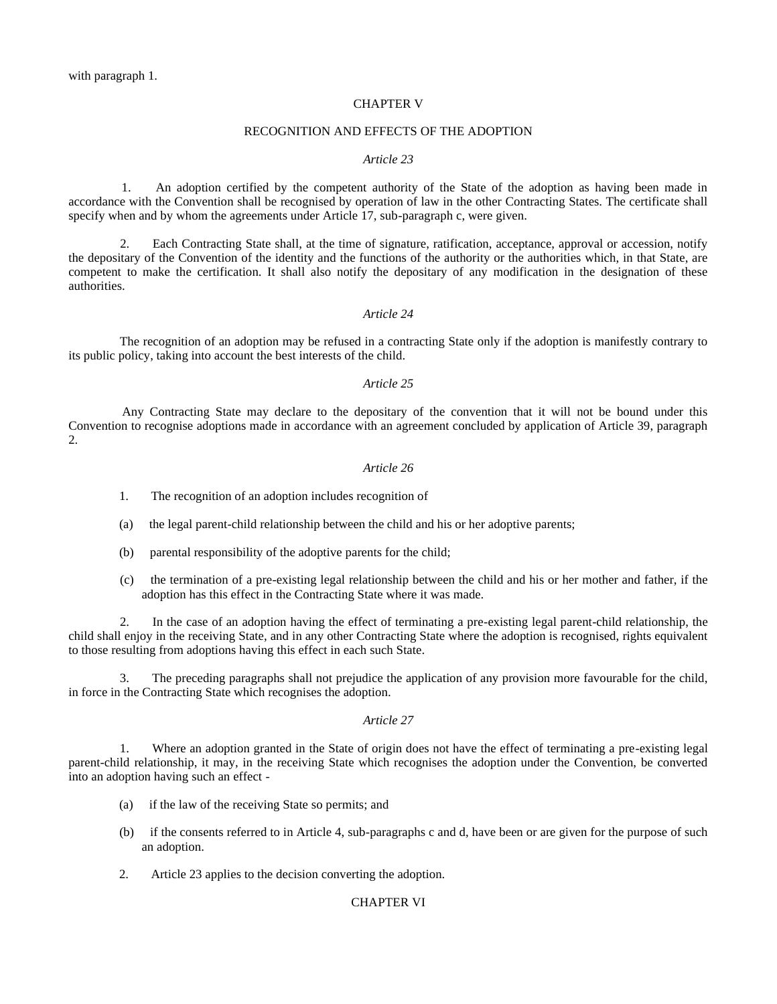with paragraph 1.

#### CHAPTER V

### RECOGNITION AND EFFECTS OF THE ADOPTION

### *Article 23*

 1. An adoption certified by the competent authority of the State of the adoption as having been made in accordance with the Convention shall be recognised by operation of law in the other Contracting States. The certificate shall specify when and by whom the agreements under Article 17, sub-paragraph c, were given.

 2. Each Contracting State shall, at the time of signature, ratification, acceptance, approval or accession, notify the depositary of the Convention of the identity and the functions of the authority or the authorities which, in that State, are competent to make the certification. It shall also notify the depositary of any modification in the designation of these authorities.

### *Article 24*

 The recognition of an adoption may be refused in a contracting State only if the adoption is manifestly contrary to its public policy, taking into account the best interests of the child.

### *Article 25*

 Any Contracting State may declare to the depositary of the convention that it will not be bound under this Convention to recognise adoptions made in accordance with an agreement concluded by application of Article 39, paragraph 2.

#### *Article 26*

- 1. The recognition of an adoption includes recognition of
- (a) the legal parent-child relationship between the child and his or her adoptive parents;
- (b) parental responsibility of the adoptive parents for the child;
- (c) the termination of a pre-existing legal relationship between the child and his or her mother and father, if the adoption has this effect in the Contracting State where it was made.

 2. In the case of an adoption having the effect of terminating a pre-existing legal parent-child relationship, the child shall enjoy in the receiving State, and in any other Contracting State where the adoption is recognised, rights equivalent to those resulting from adoptions having this effect in each such State.

 3. The preceding paragraphs shall not prejudice the application of any provision more favourable for the child, in force in the Contracting State which recognises the adoption.

#### *Article 27*

 1. Where an adoption granted in the State of origin does not have the effect of terminating a pre-existing legal parent-child relationship, it may, in the receiving State which recognises the adoption under the Convention, be converted into an adoption having such an effect -

- (a) if the law of the receiving State so permits; and
- (b) if the consents referred to in Article 4, sub-paragraphs c and d, have been or are given for the purpose of such an adoption.
- 2. Article 23 applies to the decision converting the adoption.

#### CHAPTER VI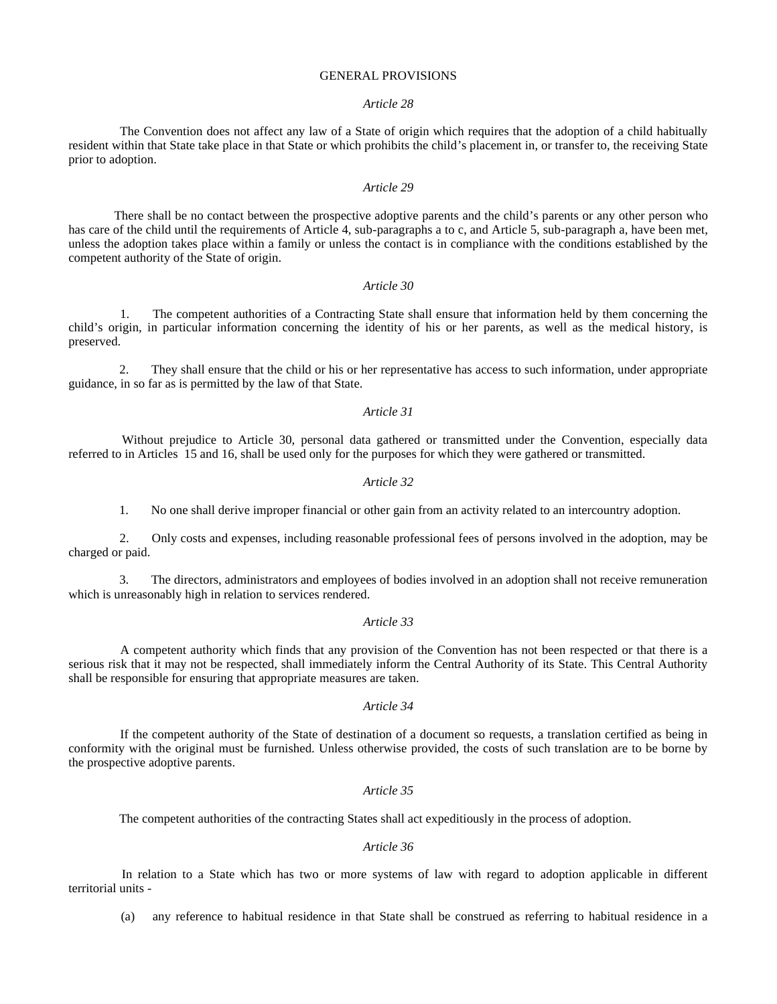### GENERAL PROVISIONS

#### *Article 28*

 The Convention does not affect any law of a State of origin which requires that the adoption of a child habitually resident within that State take place in that State or which prohibits the child's placement in, or transfer to, the receiving State prior to adoption.

#### *Article 29*

There shall be no contact between the prospective adoptive parents and the child's parents or any other person who has care of the child until the requirements of Article 4, sub-paragraphs a to c, and Article 5, sub-paragraph a, have been met, unless the adoption takes place within a family or unless the contact is in compliance with the conditions established by the competent authority of the State of origin.

#### *Article 30*

 1. The competent authorities of a Contracting State shall ensure that information held by them concerning the child's origin, in particular information concerning the identity of his or her parents, as well as the medical history, is preserved.

 2. They shall ensure that the child or his or her representative has access to such information, under appropriate guidance, in so far as is permitted by the law of that State.

### *Article 31*

 Without prejudice to Article 30, personal data gathered or transmitted under the Convention, especially data referred to in Articles 15 and 16, shall be used only for the purposes for which they were gathered or transmitted.

### *Article 32*

1. No one shall derive improper financial or other gain from an activity related to an intercountry adoption.

 2. Only costs and expenses, including reasonable professional fees of persons involved in the adoption, may be charged or paid.

 3. The directors, administrators and employees of bodies involved in an adoption shall not receive remuneration which is unreasonably high in relation to services rendered.

#### *Article 33*

 A competent authority which finds that any provision of the Convention has not been respected or that there is a serious risk that it may not be respected, shall immediately inform the Central Authority of its State. This Central Authority shall be responsible for ensuring that appropriate measures are taken.

#### *Article 34*

 If the competent authority of the State of destination of a document so requests, a translation certified as being in conformity with the original must be furnished. Unless otherwise provided, the costs of such translation are to be borne by the prospective adoptive parents.

#### *Article 35*

The competent authorities of the contracting States shall act expeditiously in the process of adoption.

#### *Article 36*

 In relation to a State which has two or more systems of law with regard to adoption applicable in different territorial units -

(a) any reference to habitual residence in that State shall be construed as referring to habitual residence in a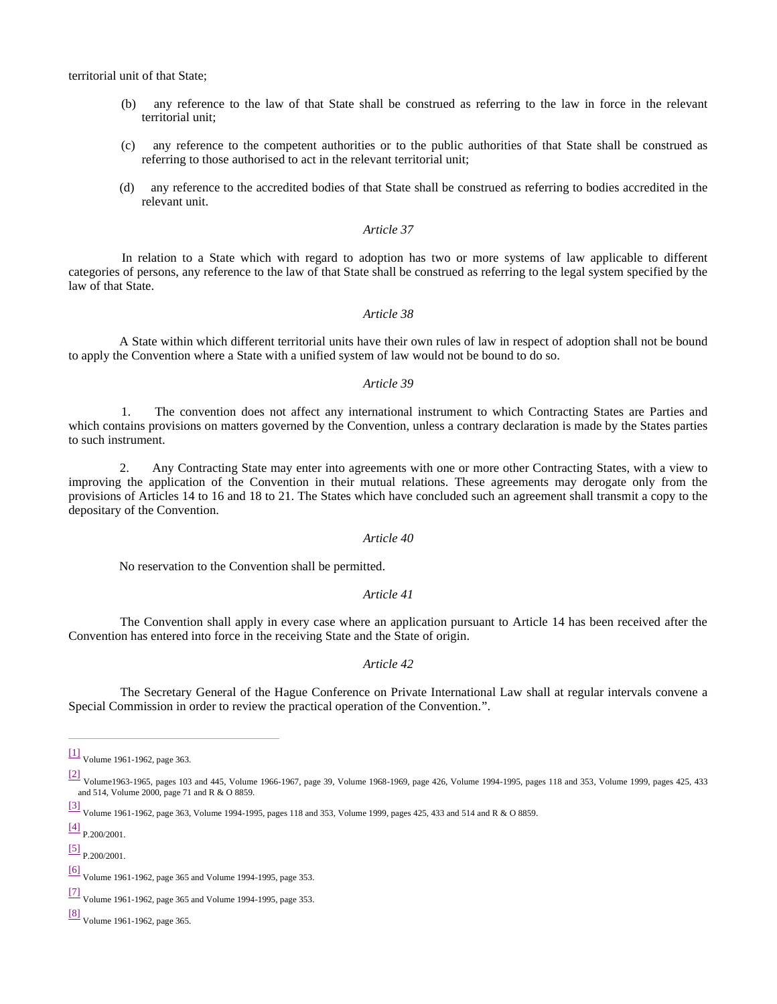territorial unit of that State;

- (b) any reference to the law of that State shall be construed as referring to the law in force in the relevant territorial unit;
- (c) any reference to the competent authorities or to the public authorities of that State shall be construed as referring to those authorised to act in the relevant territorial unit;
- (d) any reference to the accredited bodies of that State shall be construed as referring to bodies accredited in the relevant unit.

#### *Article 37*

 In relation to a State which with regard to adoption has two or more systems of law applicable to different categories of persons, any reference to the law of that State shall be construed as referring to the legal system specified by the law of that State.

### *Article 38*

 A State within which different territorial units have their own rules of law in respect of adoption shall not be bound to apply the Convention where a State with a unified system of law would not be bound to do so.

# *Article 39*

 1. The convention does not affect any international instrument to which Contracting States are Parties and which contains provisions on matters governed by the Convention, unless a contrary declaration is made by the States parties to such instrument.

 2. Any Contracting State may enter into agreements with one or more other Contracting States, with a view to improving the application of the Convention in their mutual relations. These agreements may derogate only from the provisions of Articles 14 to 16 and 18 to 21. The States which have concluded such an agreement shall transmit a copy to the depositary of the Convention.

#### *Article 40*

No reservation to the Convention shall be permitted.

### *Article 41*

 The Convention shall apply in every case where an application pursuant to Article 14 has been received after the Convention has entered into force in the receiving State and the State of origin.

### *Article 42*

 The Secretary General of the Hague Conference on Private International Law shall at regular intervals convene a Special Commission in order to review the practical operation of the Convention.".

 $\frac{[4]}{[4]}$  P.200/2001.

 $\frac{[5]}{P}$  P.200/2001.

[8] Volume 1961-1962, page 365.

 $\frac{[1]}{[1]}$  Volume 1961-1962, page 363.

 $[2]$  Volume1963-1965, pages 103 and 445, Volume 1966-1967, page 39, Volume 1968-1969, page 426, Volume 1994-1995, pages 118 and 353, Volume 1999, pages 425, 433 and 514, Volume 2000, page 71 and R & O 8859.

<sup>[3]</sup> Volume 1961-1962, page 363, Volume 1994-1995, pages 118 and 353, Volume 1999, pages 425, 433 and 514 and R & O 8859.

<sup>[6]</sup> Volume 1961-1962, page 365 and Volume 1994-1995, page 353.

<sup>[7]</sup> Volume 1961-1962, page 365 and Volume 1994-1995, page 353.